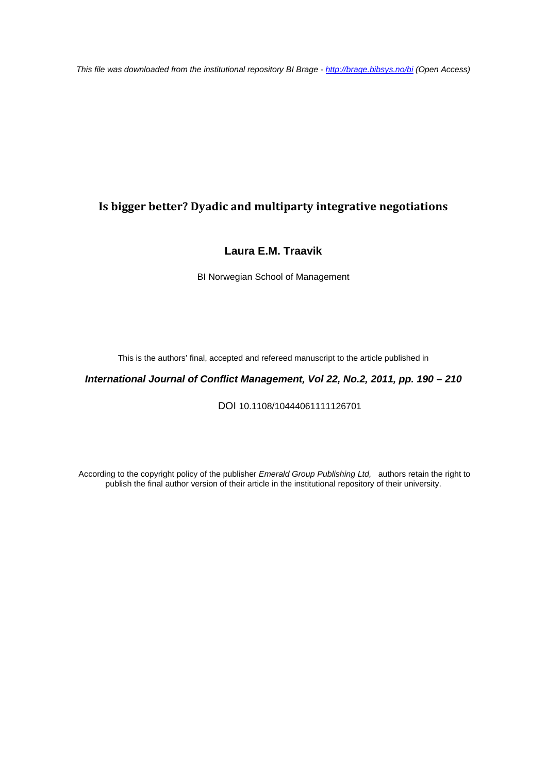*This file was downloaded from the institutional repository BI Brage - <http://brage.bibsys.no/bi> (Open Access)*

# **Is bigger better? Dyadic and multiparty integrative negotiations**

# **Laura E.M. Traavik**

BI Norwegian School of Management

This is the authors' final, accepted and refereed manuscript to the article published in

*International Journal of Conflict Management, Vol 22, No.2, 2011, pp. 190 – 210*

DOI 10.1108/10444061111126701

According to the copyright policy of the publisher *Emerald Group Publishing Ltd,* authors retain the right to publish the final author version of their article in the institutional repository of their university.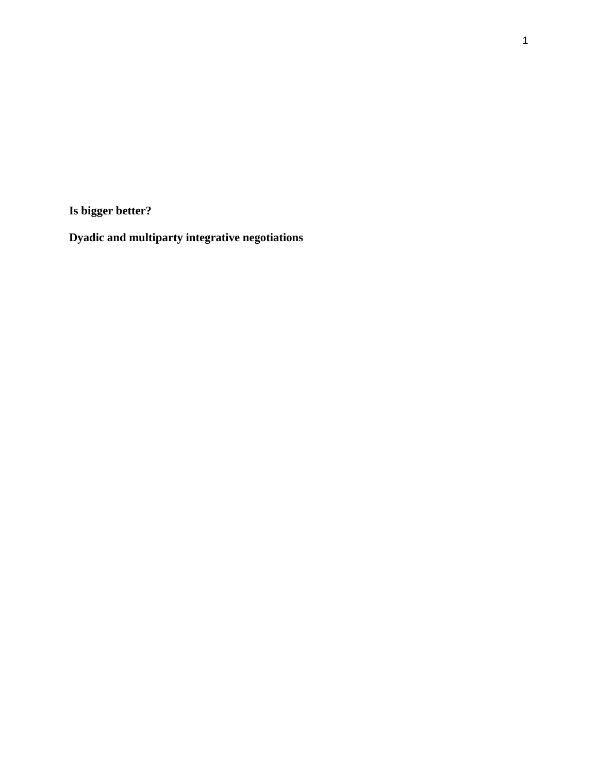**Is bigger better?**

**Dyadic and multiparty integrative negotiations**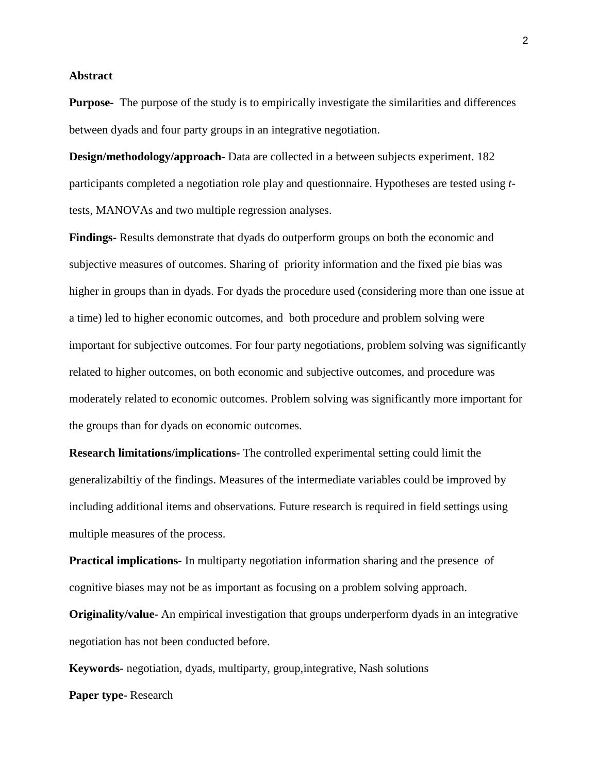#### **Abstract**

**Purpose-** The purpose of the study is to empirically investigate the similarities and differences between dyads and four party groups in an integrative negotiation.

**Design/methodology/approach-** Data are collected in a between subjects experiment. 182 participants completed a negotiation role play and questionnaire. Hypotheses are tested using *t*tests, MANOVAs and two multiple regression analyses.

**Findings-** Results demonstrate that dyads do outperform groups on both the economic and subjective measures of outcomes. Sharing of priority information and the fixed pie bias was higher in groups than in dyads. For dyads the procedure used (considering more than one issue at a time) led to higher economic outcomes, and both procedure and problem solving were important for subjective outcomes. For four party negotiations, problem solving was significantly related to higher outcomes, on both economic and subjective outcomes, and procedure was moderately related to economic outcomes. Problem solving was significantly more important for the groups than for dyads on economic outcomes.

**Research limitations/implications-** The controlled experimental setting could limit the generalizabiltiy of the findings. Measures of the intermediate variables could be improved by including additional items and observations. Future research is required in field settings using multiple measures of the process.

**Practical implications-** In multiparty negotiation information sharing and the presence of cognitive biases may not be as important as focusing on a problem solving approach.

**Originality/value-** An empirical investigation that groups underperform dyads in an integrative negotiation has not been conducted before.

**Keywords-** negotiation, dyads, multiparty, group,integrative, Nash solutions **Paper type-** Research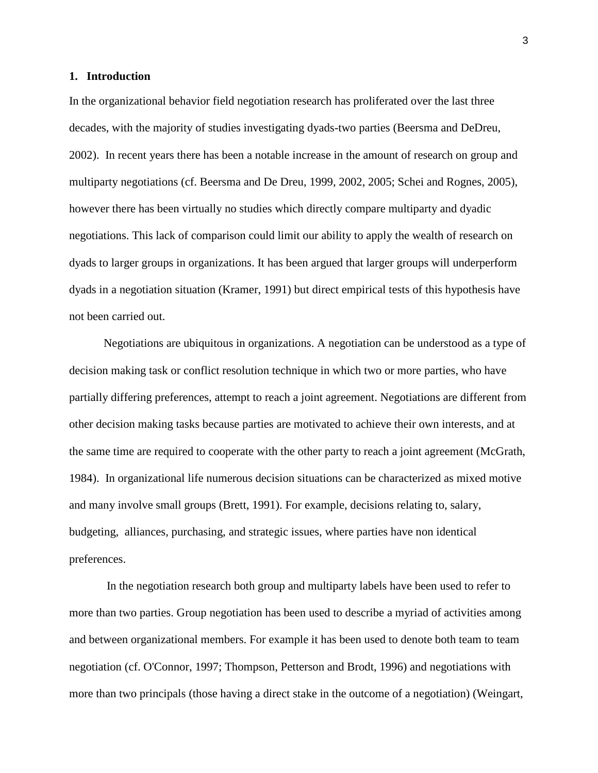#### **1. Introduction**

In the organizational behavior field negotiation research has proliferated over the last three decades, with the majority of studies investigating dyads-two parties (Beersma and DeDreu, 2002). In recent years there has been a notable increase in the amount of research on group and multiparty negotiations (cf. Beersma and De Dreu, 1999, 2002, 2005; Schei and Rognes, 2005), however there has been virtually no studies which directly compare multiparty and dyadic negotiations. This lack of comparison could limit our ability to apply the wealth of research on dyads to larger groups in organizations. It has been argued that larger groups will underperform dyads in a negotiation situation (Kramer, 1991) but direct empirical tests of this hypothesis have not been carried out.

Negotiations are ubiquitous in organizations. A negotiation can be understood as a type of decision making task or conflict resolution technique in which two or more parties, who have partially differing preferences, attempt to reach a joint agreement. Negotiations are different from other decision making tasks because parties are motivated to achieve their own interests, and at the same time are required to cooperate with the other party to reach a joint agreement (McGrath, 1984). In organizational life numerous decision situations can be characterized as mixed motive and many involve small groups (Brett, 1991). For example, decisions relating to, salary, budgeting, alliances, purchasing, and strategic issues, where parties have non identical preferences.

In the negotiation research both group and multiparty labels have been used to refer to more than two parties. Group negotiation has been used to describe a myriad of activities among and between organizational members. For example it has been used to denote both team to team negotiation (cf. O'Connor, 1997; Thompson, Petterson and Brodt, 1996) and negotiations with more than two principals (those having a direct stake in the outcome of a negotiation) (Weingart,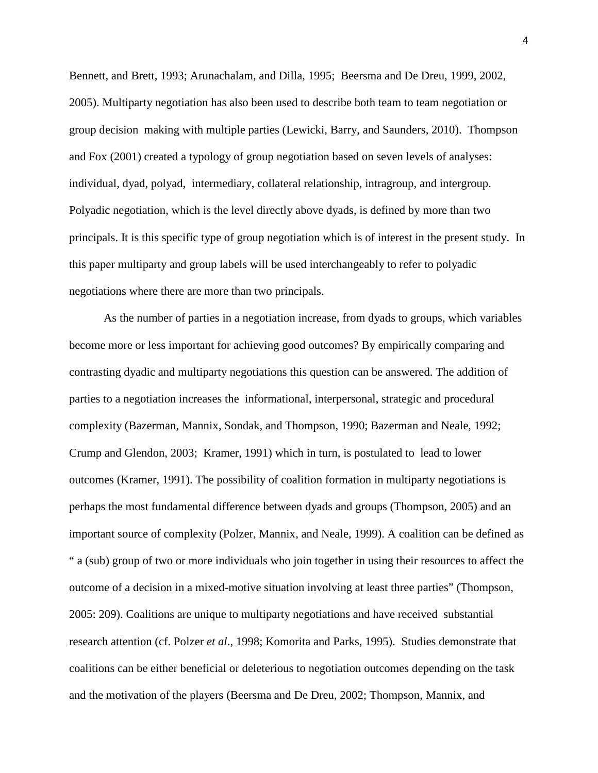Bennett, and Brett, 1993; Arunachalam, and Dilla, 1995; Beersma and De Dreu, 1999, 2002, 2005). Multiparty negotiation has also been used to describe both team to team negotiation or group decision making with multiple parties (Lewicki, Barry, and Saunders, 2010). Thompson and Fox (2001) created a typology of group negotiation based on seven levels of analyses: individual, dyad, polyad, intermediary, collateral relationship, intragroup, and intergroup. Polyadic negotiation, which is the level directly above dyads, is defined by more than two principals. It is this specific type of group negotiation which is of interest in the present study. In this paper multiparty and group labels will be used interchangeably to refer to polyadic negotiations where there are more than two principals.

As the number of parties in a negotiation increase, from dyads to groups, which variables become more or less important for achieving good outcomes? By empirically comparing and contrasting dyadic and multiparty negotiations this question can be answered. The addition of parties to a negotiation increases the informational, interpersonal, strategic and procedural complexity (Bazerman, Mannix, Sondak, and Thompson, 1990; Bazerman and Neale, 1992; Crump and Glendon, 2003; Kramer, 1991) which in turn, is postulated to lead to lower outcomes (Kramer, 1991). The possibility of coalition formation in multiparty negotiations is perhaps the most fundamental difference between dyads and groups (Thompson, 2005) and an important source of complexity (Polzer, Mannix, and Neale, 1999). A coalition can be defined as " a (sub) group of two or more individuals who join together in using their resources to affect the outcome of a decision in a mixed-motive situation involving at least three parties" (Thompson, 2005: 209). Coalitions are unique to multiparty negotiations and have received substantial research attention (cf. Polzer *et al*., 1998; Komorita and Parks, 1995). Studies demonstrate that coalitions can be either beneficial or deleterious to negotiation outcomes depending on the task and the motivation of the players (Beersma and De Dreu, 2002; Thompson, Mannix, and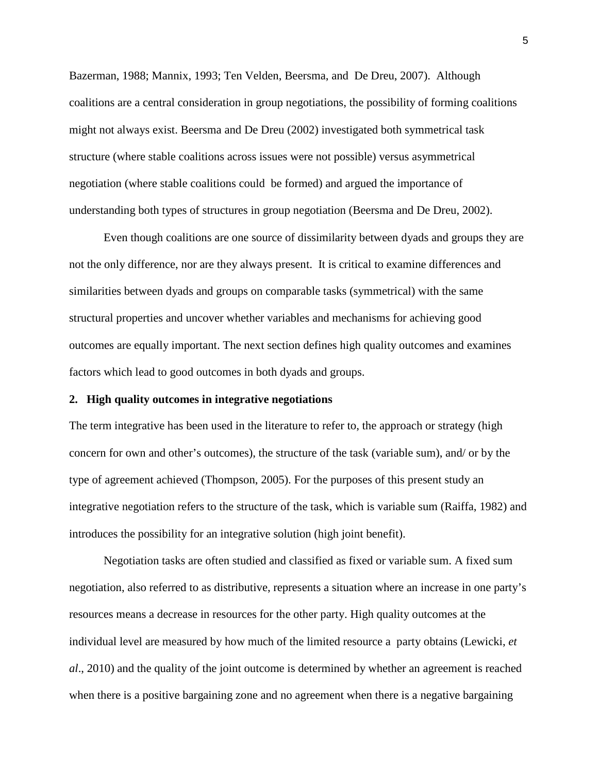Bazerman, 1988; Mannix, 1993; Ten Velden, Beersma, and De Dreu, 2007). Although coalitions are a central consideration in group negotiations, the possibility of forming coalitions might not always exist. Beersma and De Dreu (2002) investigated both symmetrical task structure (where stable coalitions across issues were not possible) versus asymmetrical negotiation (where stable coalitions could be formed) and argued the importance of understanding both types of structures in group negotiation (Beersma and De Dreu, 2002).

Even though coalitions are one source of dissimilarity between dyads and groups they are not the only difference, nor are they always present. It is critical to examine differences and similarities between dyads and groups on comparable tasks (symmetrical) with the same structural properties and uncover whether variables and mechanisms for achieving good outcomes are equally important. The next section defines high quality outcomes and examines factors which lead to good outcomes in both dyads and groups.

#### **2. High quality outcomes in integrative negotiations**

The term integrative has been used in the literature to refer to, the approach or strategy (high concern for own and other's outcomes), the structure of the task (variable sum), and/ or by the type of agreement achieved (Thompson, 2005). For the purposes of this present study an integrative negotiation refers to the structure of the task, which is variable sum (Raiffa, 1982) and introduces the possibility for an integrative solution (high joint benefit).

Negotiation tasks are often studied and classified as fixed or variable sum. A fixed sum negotiation, also referred to as distributive, represents a situation where an increase in one party's resources means a decrease in resources for the other party. High quality outcomes at the individual level are measured by how much of the limited resource a party obtains (Lewicki, *et al*., 2010) and the quality of the joint outcome is determined by whether an agreement is reached when there is a positive bargaining zone and no agreement when there is a negative bargaining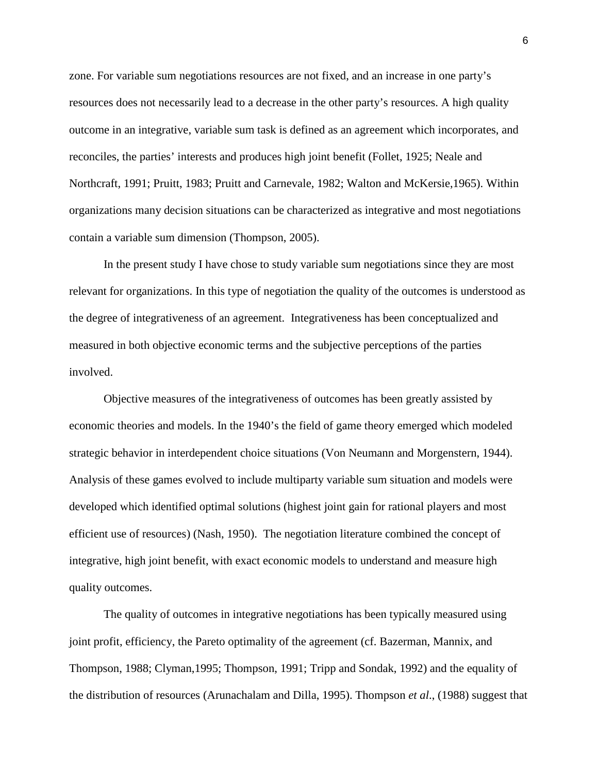zone. For variable sum negotiations resources are not fixed, and an increase in one party's resources does not necessarily lead to a decrease in the other party's resources. A high quality outcome in an integrative, variable sum task is defined as an agreement which incorporates, and reconciles, the parties' interests and produces high joint benefit (Follet, 1925; Neale and Northcraft, 1991; Pruitt, 1983; Pruitt and Carnevale, 1982; Walton and McKersie,1965). Within organizations many decision situations can be characterized as integrative and most negotiations contain a variable sum dimension (Thompson, 2005).

In the present study I have chose to study variable sum negotiations since they are most relevant for organizations. In this type of negotiation the quality of the outcomes is understood as the degree of integrativeness of an agreement. Integrativeness has been conceptualized and measured in both objective economic terms and the subjective perceptions of the parties involved.

Objective measures of the integrativeness of outcomes has been greatly assisted by economic theories and models. In the 1940's the field of game theory emerged which modeled strategic behavior in interdependent choice situations [\(Von Neumann](http://en.wikipedia.org/wiki/John_von_Neumann) and [Morgenstern,](http://en.wikipedia.org/wiki/Oskar_Morgenstern) 1944). Analysis of these games evolved to include multiparty variable sum situation and models were developed which identified optimal solutions (highest joint gain for rational players and most efficient use of resources) (Nash, 1950). The negotiation literature combined the concept of integrative, high joint benefit, with exact economic models to understand and measure high quality outcomes.

The quality of outcomes in integrative negotiations has been typically measured using joint profit, efficiency, the Pareto optimality of the agreement (cf. Bazerman, Mannix, and Thompson, 1988; Clyman,1995; Thompson, 1991; Tripp and Sondak, 1992) and the equality of the distribution of resources (Arunachalam and Dilla, 1995). Thompson *et al*., (1988) suggest that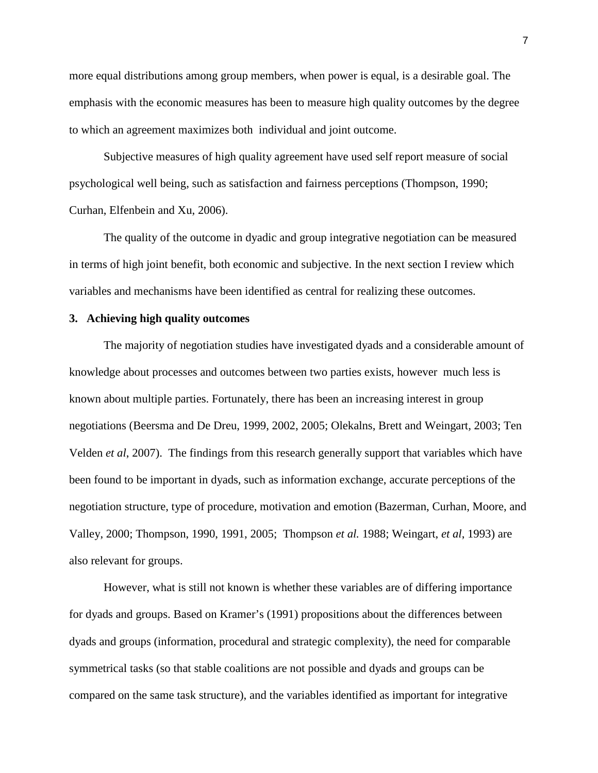more equal distributions among group members, when power is equal, is a desirable goal. The emphasis with the economic measures has been to measure high quality outcomes by the degree to which an agreement maximizes both individual and joint outcome.

Subjective measures of high quality agreement have used self report measure of social psychological well being, such as satisfaction and fairness perceptions (Thompson, 1990; Curhan, Elfenbein and Xu, 2006).

The quality of the outcome in dyadic and group integrative negotiation can be measured in terms of high joint benefit, both economic and subjective. In the next section I review which variables and mechanisms have been identified as central for realizing these outcomes.

## **3. Achieving high quality outcomes**

The majority of negotiation studies have investigated dyads and a considerable amount of knowledge about processes and outcomes between two parties exists, however much less is known about multiple parties. Fortunately, there has been an increasing interest in group negotiations (Beersma and De Dreu, 1999, 2002, 2005; Olekalns, Brett and Weingart*,* 2003; Ten Velden *et al*, 2007). The findings from this research generally support that variables which have been found to be important in dyads, such as information exchange, accurate perceptions of the negotiation structure, type of procedure, motivation and emotion (Bazerman, Curhan, Moore, and Valley, 2000; Thompson, 1990, 1991, 2005; Thompson *et al.* 1988; Weingart, *et al*, 1993) are also relevant for groups.

However, what is still not known is whether these variables are of differing importance for dyads and groups. Based on Kramer's (1991) propositions about the differences between dyads and groups (information, procedural and strategic complexity), the need for comparable symmetrical tasks (so that stable coalitions are not possible and dyads and groups can be compared on the same task structure), and the variables identified as important for integrative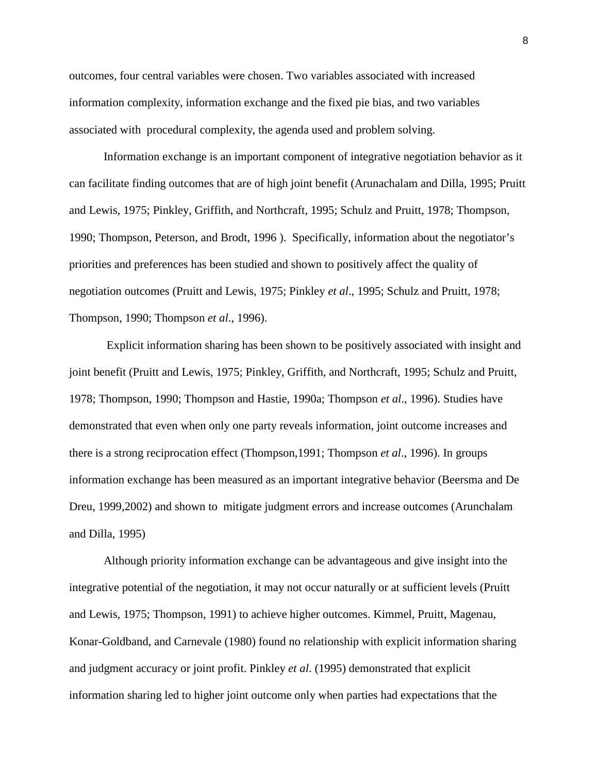outcomes, four central variables were chosen. Two variables associated with increased information complexity, information exchange and the fixed pie bias, and two variables associated with procedural complexity, the agenda used and problem solving.

Information exchange is an important component of integrative negotiation behavior as it can facilitate finding outcomes that are of high joint benefit (Arunachalam and Dilla, 1995; Pruitt and Lewis, 1975; Pinkley, Griffith, and Northcraft, 1995; Schulz and Pruitt, 1978; Thompson, 1990; Thompson, Peterson, and Brodt, 1996 ). Specifically, information about the negotiator's priorities and preferences has been studied and shown to positively affect the quality of negotiation outcomes (Pruitt and Lewis, 1975; Pinkley *et al*., 1995; Schulz and Pruitt, 1978; Thompson, 1990; Thompson *et al*., 1996).

Explicit information sharing has been shown to be positively associated with insight and joint benefit (Pruitt and Lewis, 1975; Pinkley, Griffith, and Northcraft, 1995; Schulz and Pruitt, 1978; Thompson, 1990; Thompson and Hastie, 1990a; Thompson *et al*., 1996). Studies have demonstrated that even when only one party reveals information, joint outcome increases and there is a strong reciprocation effect (Thompson,1991; Thompson *et al*., 1996). In groups information exchange has been measured as an important integrative behavior (Beersma and De Dreu, 1999,2002) and shown to mitigate judgment errors and increase outcomes (Arunchalam and Dilla, 1995)

Although priority information exchange can be advantageous and give insight into the integrative potential of the negotiation, it may not occur naturally or at sufficient levels (Pruitt and Lewis, 1975; Thompson, 1991) to achieve higher outcomes. Kimmel, Pruitt, Magenau, Konar-Goldband, and Carnevale (1980) found no relationship with explicit information sharing and judgment accuracy or joint profit. Pinkley *et al*. (1995) demonstrated that explicit information sharing led to higher joint outcome only when parties had expectations that the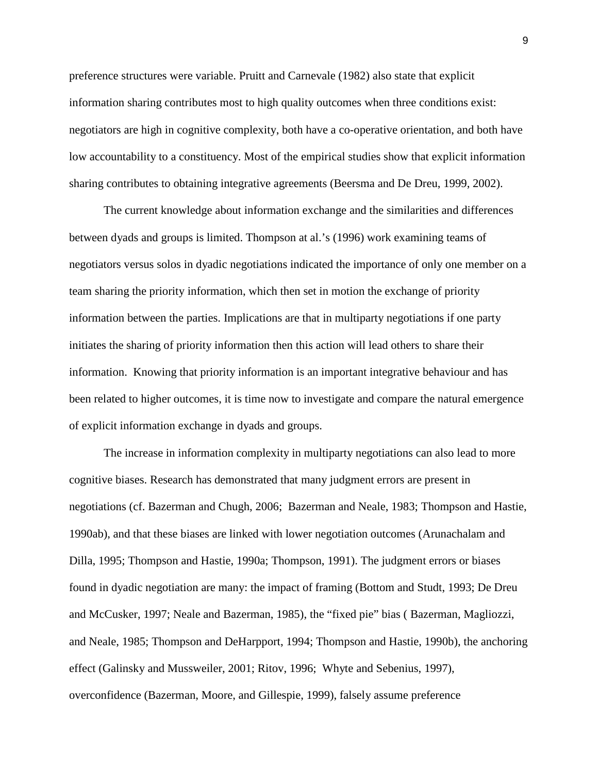preference structures were variable. Pruitt and Carnevale (1982) also state that explicit information sharing contributes most to high quality outcomes when three conditions exist: negotiators are high in cognitive complexity, both have a co-operative orientation, and both have low accountability to a constituency. Most of the empirical studies show that explicit information sharing contributes to obtaining integrative agreements (Beersma and De Dreu, 1999, 2002).

The current knowledge about information exchange and the similarities and differences between dyads and groups is limited. Thompson at al.'s (1996) work examining teams of negotiators versus solos in dyadic negotiations indicated the importance of only one member on a team sharing the priority information, which then set in motion the exchange of priority information between the parties. Implications are that in multiparty negotiations if one party initiates the sharing of priority information then this action will lead others to share their information. Knowing that priority information is an important integrative behaviour and has been related to higher outcomes, it is time now to investigate and compare the natural emergence of explicit information exchange in dyads and groups.

The increase in information complexity in multiparty negotiations can also lead to more cognitive biases. Research has demonstrated that many judgment errors are present in negotiations (cf. Bazerman and Chugh, 2006; Bazerman and Neale, 1983; Thompson and Hastie, 1990ab), and that these biases are linked with lower negotiation outcomes (Arunachalam and Dilla, 1995; Thompson and Hastie, 1990a; Thompson, 1991). The judgment errors or biases found in dyadic negotiation are many: the impact of framing (Bottom and Studt, 1993; De Dreu and McCusker, 1997; Neale and Bazerman, 1985), the "fixed pie" bias ( Bazerman, Magliozzi, and Neale, 1985; Thompson and DeHarpport, 1994; Thompson and Hastie, 1990b), the anchoring effect (Galinsky and Mussweiler, 2001; Ritov, 1996; Whyte and Sebenius, 1997), overconfidence (Bazerman, Moore, and Gillespie, 1999), falsely assume preference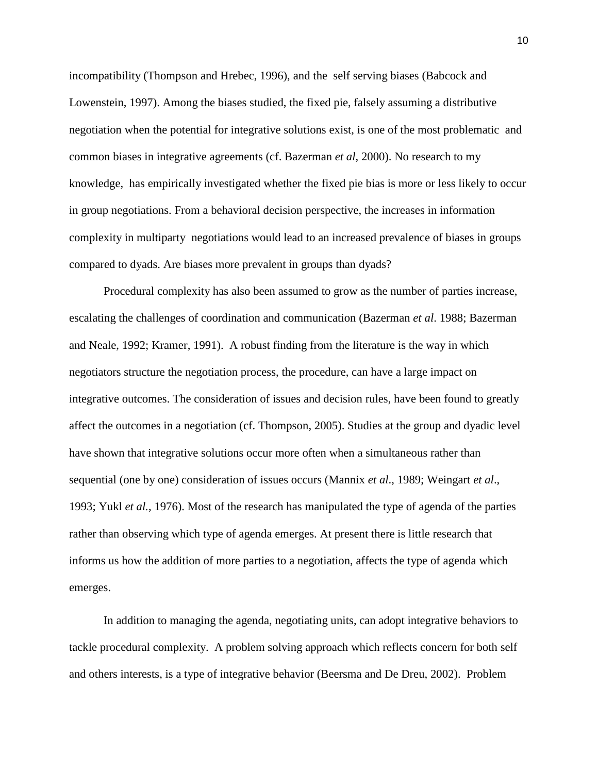incompatibility (Thompson and Hrebec, 1996), and the self serving biases (Babcock and Lowenstein, 1997). Among the biases studied, the fixed pie, falsely assuming a distributive negotiation when the potential for integrative solutions exist, is one of the most problematic and common biases in integrative agreements (cf. Bazerman *et al*, 2000). No research to my knowledge, has empirically investigated whether the fixed pie bias is more or less likely to occur in group negotiations. From a behavioral decision perspective, the increases in information complexity in multiparty negotiations would lead to an increased prevalence of biases in groups compared to dyads. Are biases more prevalent in groups than dyads?

Procedural complexity has also been assumed to grow as the number of parties increase, escalating the challenges of coordination and communication (Bazerman *et al*. 1988; Bazerman and Neale, 1992; Kramer, 1991). A robust finding from the literature is the way in which negotiators structure the negotiation process, the procedure, can have a large impact on integrative outcomes. The consideration of issues and decision rules, have been found to greatly affect the outcomes in a negotiation (cf. Thompson, 2005). Studies at the group and dyadic level have shown that integrative solutions occur more often when a simultaneous rather than sequential (one by one) consideration of issues occurs (Mannix *et al*., 1989; Weingart *et al*., 1993; Yukl *et al.*, 1976). Most of the research has manipulated the type of agenda of the parties rather than observing which type of agenda emerges. At present there is little research that informs us how the addition of more parties to a negotiation, affects the type of agenda which emerges.

In addition to managing the agenda, negotiating units, can adopt integrative behaviors to tackle procedural complexity. A problem solving approach which reflects concern for both self and others interests, is a type of integrative behavior (Beersma and De Dreu, 2002). Problem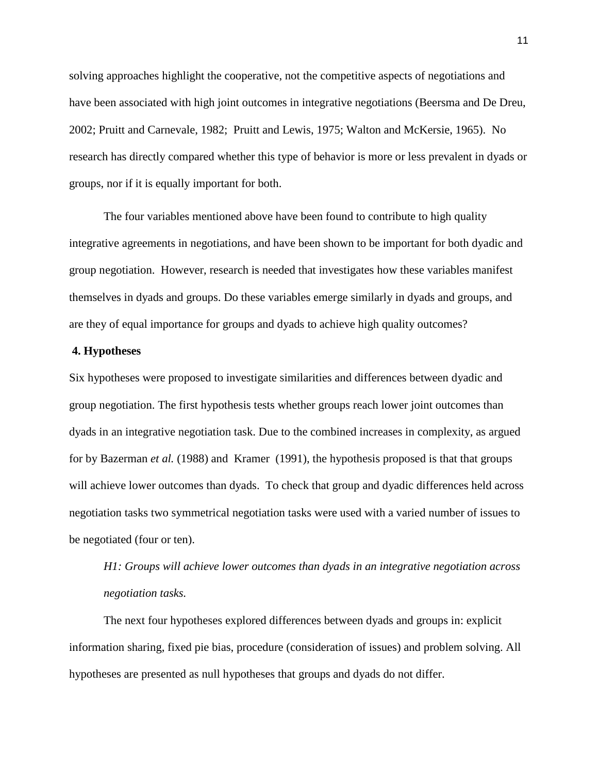solving approaches highlight the cooperative, not the competitive aspects of negotiations and have been associated with high joint outcomes in integrative negotiations (Beersma and De Dreu, 2002; Pruitt and Carnevale, 1982; Pruitt and Lewis, 1975; Walton and McKersie, 1965). No research has directly compared whether this type of behavior is more or less prevalent in dyads or groups, nor if it is equally important for both.

The four variables mentioned above have been found to contribute to high quality integrative agreements in negotiations, and have been shown to be important for both dyadic and group negotiation. However, research is needed that investigates how these variables manifest themselves in dyads and groups. Do these variables emerge similarly in dyads and groups, and are they of equal importance for groups and dyads to achieve high quality outcomes?

#### **4. Hypotheses**

Six hypotheses were proposed to investigate similarities and differences between dyadic and group negotiation. The first hypothesis tests whether groups reach lower joint outcomes than dyads in an integrative negotiation task. Due to the combined increases in complexity, as argued for by Bazerman *et al.* (1988) and Kramer (1991), the hypothesis proposed is that that groups will achieve lower outcomes than dyads. To check that group and dyadic differences held across negotiation tasks two symmetrical negotiation tasks were used with a varied number of issues to be negotiated (four or ten).

*H1: Groups will achieve lower outcomes than dyads in an integrative negotiation across negotiation tasks.*

The next four hypotheses explored differences between dyads and groups in: explicit information sharing, fixed pie bias, procedure (consideration of issues) and problem solving. All hypotheses are presented as null hypotheses that groups and dyads do not differ.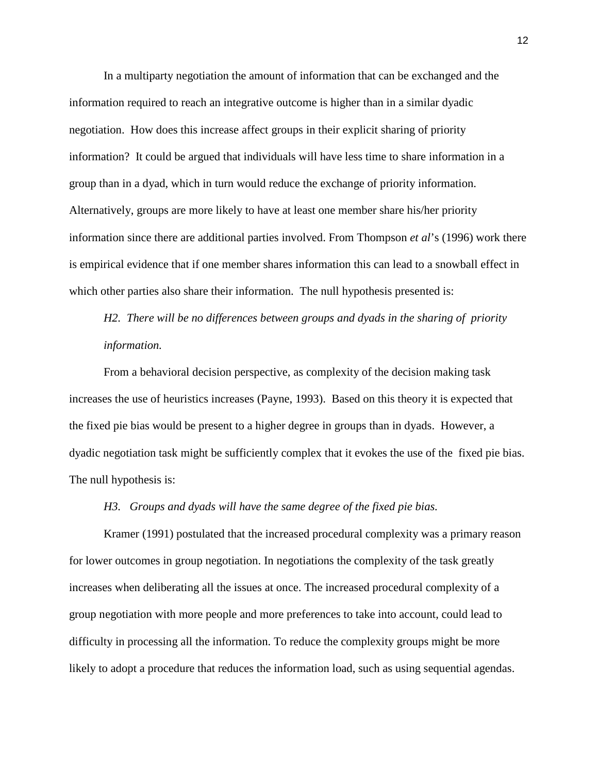In a multiparty negotiation the amount of information that can be exchanged and the information required to reach an integrative outcome is higher than in a similar dyadic negotiation. How does this increase affect groups in their explicit sharing of priority information? It could be argued that individuals will have less time to share information in a group than in a dyad, which in turn would reduce the exchange of priority information. Alternatively, groups are more likely to have at least one member share his/her priority information since there are additional parties involved. From Thompson *et al*'s (1996) work there is empirical evidence that if one member shares information this can lead to a snowball effect in which other parties also share their information. The null hypothesis presented is:

# *H2. There will be no differences between groups and dyads in the sharing of priority information.*

From a behavioral decision perspective, as complexity of the decision making task increases the use of heuristics increases (Payne, 1993). Based on this theory it is expected that the fixed pie bias would be present to a higher degree in groups than in dyads. However, a dyadic negotiation task might be sufficiently complex that it evokes the use of the fixed pie bias. The null hypothesis is:

#### *H3. Groups and dyads will have the same degree of the fixed pie bias.*

Kramer (1991) postulated that the increased procedural complexity was a primary reason for lower outcomes in group negotiation. In negotiations the complexity of the task greatly increases when deliberating all the issues at once. The increased procedural complexity of a group negotiation with more people and more preferences to take into account, could lead to difficulty in processing all the information. To reduce the complexity groups might be more likely to adopt a procedure that reduces the information load, such as using sequential agendas.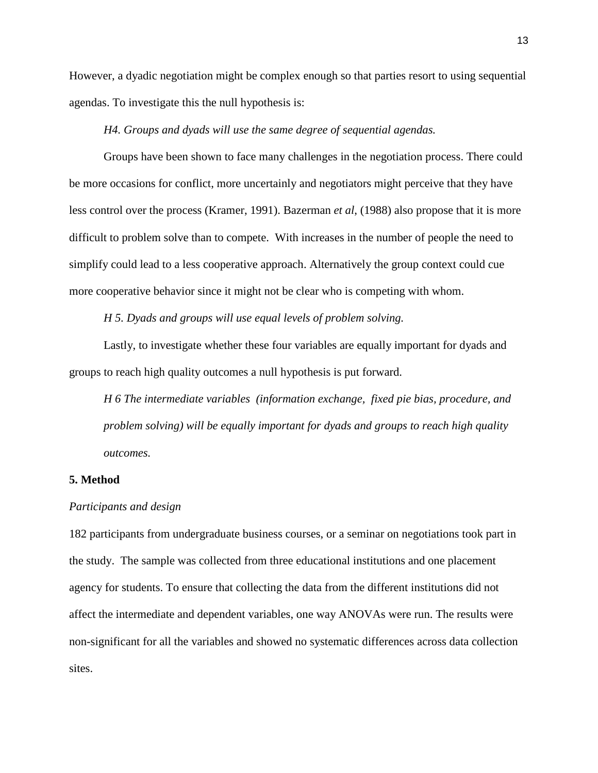However, a dyadic negotiation might be complex enough so that parties resort to using sequential agendas. To investigate this the null hypothesis is:

*H4. Groups and dyads will use the same degree of sequential agendas.*

Groups have been shown to face many challenges in the negotiation process. There could be more occasions for conflict, more uncertainly and negotiators might perceive that they have less control over the process (Kramer, 1991). Bazerman *et al*, (1988) also propose that it is more difficult to problem solve than to compete. With increases in the number of people the need to simplify could lead to a less cooperative approach. Alternatively the group context could cue more cooperative behavior since it might not be clear who is competing with whom.

*H 5. Dyads and groups will use equal levels of problem solving.*

Lastly, to investigate whether these four variables are equally important for dyads and groups to reach high quality outcomes a null hypothesis is put forward.

*H 6 The intermediate variables (information exchange, fixed pie bias, procedure, and problem solving) will be equally important for dyads and groups to reach high quality outcomes.*

#### **5. Method**

#### *Participants and design*

182 participants from undergraduate business courses, or a seminar on negotiations took part in the study. The sample was collected from three educational institutions and one placement agency for students. To ensure that collecting the data from the different institutions did not affect the intermediate and dependent variables, one way ANOVAs were run. The results were non-significant for all the variables and showed no systematic differences across data collection sites.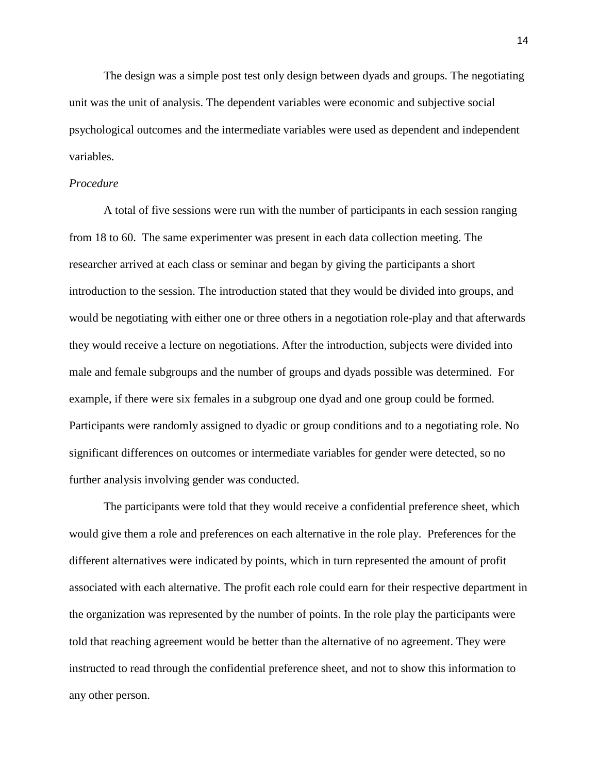The design was a simple post test only design between dyads and groups. The negotiating unit was the unit of analysis. The dependent variables were economic and subjective social psychological outcomes and the intermediate variables were used as dependent and independent variables.

#### *Procedure*

A total of five sessions were run with the number of participants in each session ranging from 18 to 60. The same experimenter was present in each data collection meeting. The researcher arrived at each class or seminar and began by giving the participants a short introduction to the session. The introduction stated that they would be divided into groups, and would be negotiating with either one or three others in a negotiation role-play and that afterwards they would receive a lecture on negotiations. After the introduction, subjects were divided into male and female subgroups and the number of groups and dyads possible was determined. For example, if there were six females in a subgroup one dyad and one group could be formed. Participants were randomly assigned to dyadic or group conditions and to a negotiating role. No significant differences on outcomes or intermediate variables for gender were detected, so no further analysis involving gender was conducted.

The participants were told that they would receive a confidential preference sheet, which would give them a role and preferences on each alternative in the role play. Preferences for the different alternatives were indicated by points, which in turn represented the amount of profit associated with each alternative. The profit each role could earn for their respective department in the organization was represented by the number of points. In the role play the participants were told that reaching agreement would be better than the alternative of no agreement. They were instructed to read through the confidential preference sheet, and not to show this information to any other person.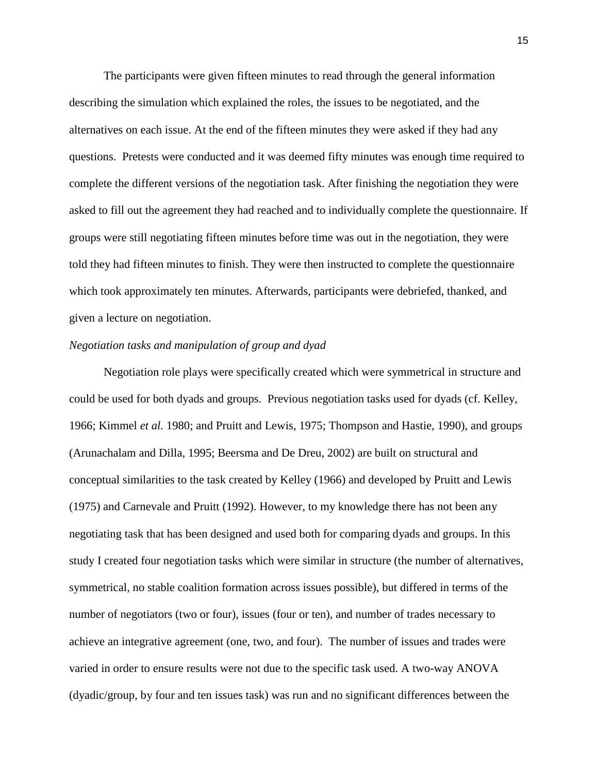The participants were given fifteen minutes to read through the general information describing the simulation which explained the roles, the issues to be negotiated, and the alternatives on each issue. At the end of the fifteen minutes they were asked if they had any questions. Pretests were conducted and it was deemed fifty minutes was enough time required to complete the different versions of the negotiation task. After finishing the negotiation they were asked to fill out the agreement they had reached and to individually complete the questionnaire. If groups were still negotiating fifteen minutes before time was out in the negotiation, they were told they had fifteen minutes to finish. They were then instructed to complete the questionnaire which took approximately ten minutes. Afterwards, participants were debriefed, thanked, and given a lecture on negotiation.

#### *Negotiation tasks and manipulation of group and dyad*

Negotiation role plays were specifically created which were symmetrical in structure and could be used for both dyads and groups. Previous negotiation tasks used for dyads (cf. Kelley, 1966; Kimmel *et al.* 1980; and Pruitt and Lewis, 1975; Thompson and Hastie, 1990), and groups (Arunachalam and Dilla, 1995; Beersma and De Dreu, 2002) are built on structural and conceptual similarities to the task created by Kelley (1966) and developed by Pruitt and Lewis (1975) and Carnevale and Pruitt (1992). However, to my knowledge there has not been any negotiating task that has been designed and used both for comparing dyads and groups. In this study I created four negotiation tasks which were similar in structure (the number of alternatives, symmetrical, no stable coalition formation across issues possible), but differed in terms of the number of negotiators (two or four), issues (four or ten), and number of trades necessary to achieve an integrative agreement (one, two, and four). The number of issues and trades were varied in order to ensure results were not due to the specific task used. A two-way ANOVA (dyadic/group, by four and ten issues task) was run and no significant differences between the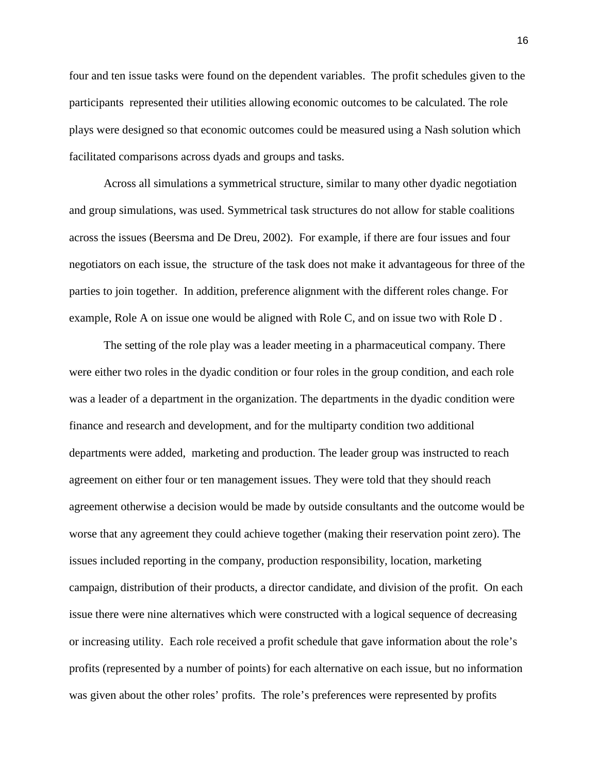four and ten issue tasks were found on the dependent variables. The profit schedules given to the participants represented their utilities allowing economic outcomes to be calculated. The role plays were designed so that economic outcomes could be measured using a Nash solution which facilitated comparisons across dyads and groups and tasks.

Across all simulations a symmetrical structure, similar to many other dyadic negotiation and group simulations, was used. Symmetrical task structures do not allow for stable coalitions across the issues (Beersma and De Dreu, 2002). For example, if there are four issues and four negotiators on each issue, the structure of the task does not make it advantageous for three of the parties to join together. In addition, preference alignment with the different roles change. For example, Role A on issue one would be aligned with Role C, and on issue two with Role D .

The setting of the role play was a leader meeting in a pharmaceutical company. There were either two roles in the dyadic condition or four roles in the group condition, and each role was a leader of a department in the organization. The departments in the dyadic condition were finance and research and development, and for the multiparty condition two additional departments were added, marketing and production. The leader group was instructed to reach agreement on either four or ten management issues. They were told that they should reach agreement otherwise a decision would be made by outside consultants and the outcome would be worse that any agreement they could achieve together (making their reservation point zero). The issues included reporting in the company, production responsibility, location, marketing campaign, distribution of their products, a director candidate, and division of the profit. On each issue there were nine alternatives which were constructed with a logical sequence of decreasing or increasing utility. Each role received a profit schedule that gave information about the role's profits (represented by a number of points) for each alternative on each issue, but no information was given about the other roles' profits. The role's preferences were represented by profits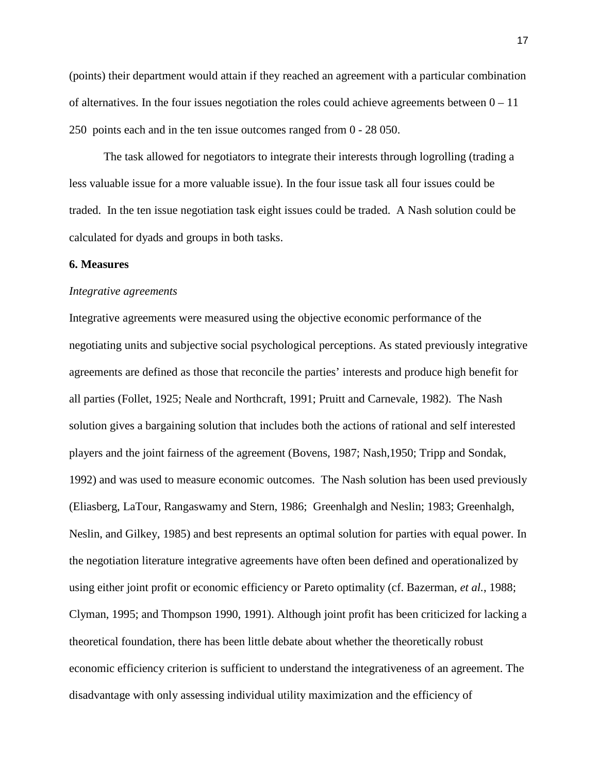(points) their department would attain if they reached an agreement with a particular combination of alternatives. In the four issues negotiation the roles could achieve agreements between  $0 - 11$ 250 points each and in the ten issue outcomes ranged from 0 - 28 050.

The task allowed for negotiators to integrate their interests through logrolling (trading a less valuable issue for a more valuable issue). In the four issue task all four issues could be traded. In the ten issue negotiation task eight issues could be traded. A Nash solution could be calculated for dyads and groups in both tasks.

#### **6. Measures**

#### *Integrative agreements*

Integrative agreements were measured using the objective economic performance of the negotiating units and subjective social psychological perceptions. As stated previously integrative agreements are defined as those that reconcile the parties' interests and produce high benefit for all parties (Follet, 1925; Neale and Northcraft, 1991; Pruitt and Carnevale, 1982). The Nash solution gives a bargaining solution that includes both the actions of rational and self interested players and the joint fairness of the agreement (Bovens, 1987; Nash,1950; Tripp and Sondak, 1992) and was used to measure economic outcomes. The Nash solution has been used previously (Eliasberg, LaTour, Rangaswamy and Stern, 1986; Greenhalgh and Neslin; 1983; Greenhalgh, Neslin, and Gilkey, 1985) and best represents an optimal solution for parties with equal power. In the negotiation literature integrative agreements have often been defined and operationalized by using either joint profit or economic efficiency or Pareto optimality (cf. Bazerman, *et al.*, 1988; Clyman, 1995; and Thompson 1990, 1991). Although joint profit has been criticized for lacking a theoretical foundation, there has been little debate about whether the theoretically robust economic efficiency criterion is sufficient to understand the integrativeness of an agreement. The disadvantage with only assessing individual utility maximization and the efficiency of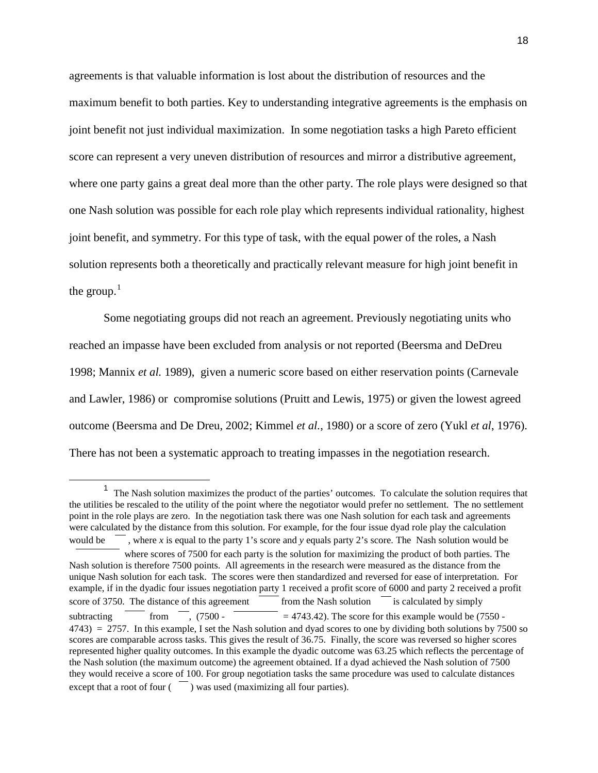agreements is that valuable information is lost about the distribution of resources and the maximum benefit to both parties. Key to understanding integrative agreements is the emphasis on joint benefit not just individual maximization. In some negotiation tasks a high Pareto efficient score can represent a very uneven distribution of resources and mirror a distributive agreement, where one party gains a great deal more than the other party. The role plays were designed so that one Nash solution was possible for each role play which represents individual rationality, highest joint benefit, and symmetry. For this type of task, with the equal power of the roles, a Nash solution represents both a theoretically and practically relevant measure for high joint benefit in the group. $<sup>1</sup>$  $<sup>1</sup>$  $<sup>1</sup>$ </sup>

Some negotiating groups did not reach an agreement. Previously negotiating units who reached an impasse have been excluded from analysis or not reported (Beersma and DeDreu 1998; Mannix *et al.* 1989), given a numeric score based on either reservation points (Carnevale and Lawler, 1986) or compromise solutions (Pruitt and Lewis, 1975) or given the lowest agreed outcome (Beersma and De Dreu, 2002; Kimmel *et al.*, 1980) or a score of zero (Yukl *et al*, 1976). There has not been a systematic approach to treating impasses in the negotiation research.

<span id="page-18-0"></span> <sup>1</sup> The Nash solution maximizes the product of the parties' outcomes. To calculate the solution requires that the utilities be rescaled to the utility of the point where the negotiator would prefer no settlement. The no settlement point in the role plays are zero. In the negotiation task there was one Nash solution for each task and agreements were calculated by the distance from this solution. For example, for the four issue dyad role play the calculation would be  $\overline{\phantom{a}}$ , where *x* is equal to the party 1's score and *y* equals party 2's score. The Nash solution would be where scores of 7500 for each party is the solution for maximizing the product of both parties. The Nash solution is therefore 7500 points. All agreements in the research were measured as the distance from the unique Nash solution for each task. The scores were then standardized and reversed for ease of interpretation. For example, if in the dyadic four issues negotiation party 1 received a profit score of 6000 and party 2 received a profit score of 3750. The distance of this agreement  $\overline{\hspace{1cm}}$  from the Nash solution  $\overline{\hspace{1cm}}$  is calculated by simply subtracting from  $\overline{\phantom{a}}$ , (7500 -  $\overline{\phantom{a}}$  = 4743.42). The score for this example would be (7550 - $4743$ ) = 2757. In this example, I set the Nash solution and dyad scores to one by dividing both solutions by 7500 so scores are comparable across tasks. This gives the result of 36.75. Finally, the score was reversed so higher scores represented higher quality outcomes. In this example the dyadic outcome was 63.25 which reflects the percentage of the Nash solution (the maximum outcome) the agreement obtained. If a dyad achieved the Nash solution of 7500 they would receive a score of 100. For group negotiation tasks the same procedure was used to calculate distances  $\alpha$  except that a root of four  $\alpha$  ) was used (maximizing all four parties).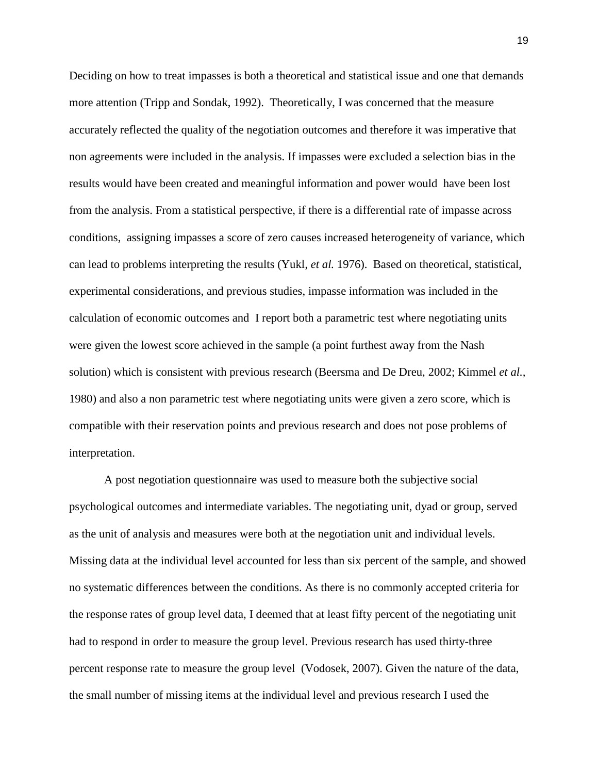Deciding on how to treat impasses is both a theoretical and statistical issue and one that demands more attention (Tripp and Sondak, 1992). Theoretically, I was concerned that the measure accurately reflected the quality of the negotiation outcomes and therefore it was imperative that non agreements were included in the analysis. If impasses were excluded a selection bias in the results would have been created and meaningful information and power would have been lost from the analysis. From a statistical perspective, if there is a differential rate of impasse across conditions, assigning impasses a score of zero causes increased heterogeneity of variance, which can lead to problems interpreting the results (Yukl, *et al.* 1976). Based on theoretical, statistical, experimental considerations, and previous studies, impasse information was included in the calculation of economic outcomes and I report both a parametric test where negotiating units were given the lowest score achieved in the sample (a point furthest away from the Nash solution) which is consistent with previous research (Beersma and De Dreu, 2002; Kimmel *et al.,* 1980) and also a non parametric test where negotiating units were given a zero score, which is compatible with their reservation points and previous research and does not pose problems of interpretation.

A post negotiation questionnaire was used to measure both the subjective social psychological outcomes and intermediate variables. The negotiating unit, dyad or group, served as the unit of analysis and measures were both at the negotiation unit and individual levels. Missing data at the individual level accounted for less than six percent of the sample, and showed no systematic differences between the conditions. As there is no commonly accepted criteria for the response rates of group level data, I deemed that at least fifty percent of the negotiating unit had to respond in order to measure the group level. Previous research has used thirty-three percent response rate to measure the group level (Vodosek, 2007). Given the nature of the data, the small number of missing items at the individual level and previous research I used the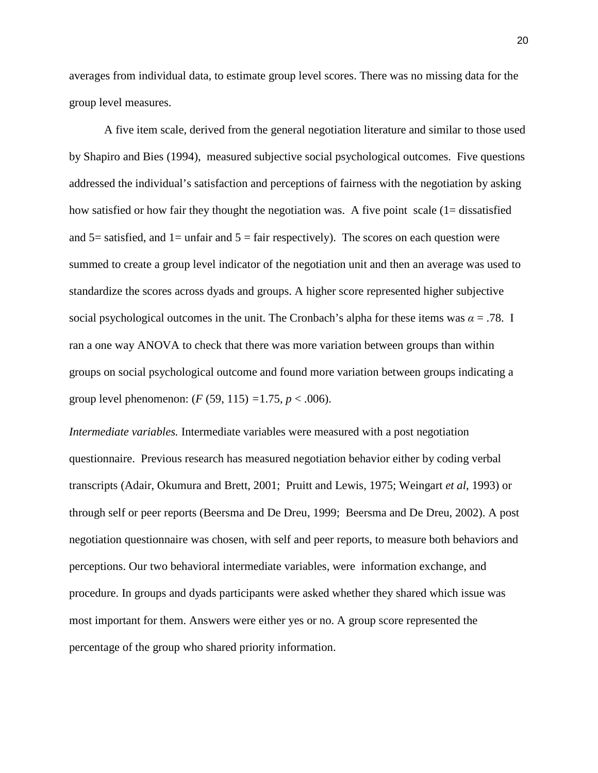averages from individual data, to estimate group level scores. There was no missing data for the group level measures.

A five item scale, derived from the general negotiation literature and similar to those used by Shapiro and Bies (1994), measured subjective social psychological outcomes. Five questions addressed the individual's satisfaction and perceptions of fairness with the negotiation by asking how satisfied or how fair they thought the negotiation was. A five point scale (1= dissatisfied and  $5=$  satisfied, and  $1=$  unfair and  $5=$  fair respectively). The scores on each question were summed to create a group level indicator of the negotiation unit and then an average was used to standardize the scores across dyads and groups. A higher score represented higher subjective social psychological outcomes in the unit. The Cronbach's alpha for these items was  $\alpha = .78$ . I ran a one way ANOVA to check that there was more variation between groups than within groups on social psychological outcome and found more variation between groups indicating a group level phenomenon: (*F* (59, 115) *=*1.75, *p* < .006).

*Intermediate variables.* Intermediate variables were measured with a post negotiation questionnaire. Previous research has measured negotiation behavior either by coding verbal transcripts (Adair, Okumura and Brett*,* 2001; Pruitt and Lewis, 1975; Weingart *et al*, 1993) or through self or peer reports (Beersma and De Dreu, 1999; Beersma and De Dreu, 2002). A post negotiation questionnaire was chosen, with self and peer reports, to measure both behaviors and perceptions. Our two behavioral intermediate variables, were information exchange, and procedure. In groups and dyads participants were asked whether they shared which issue was most important for them. Answers were either yes or no. A group score represented the percentage of the group who shared priority information.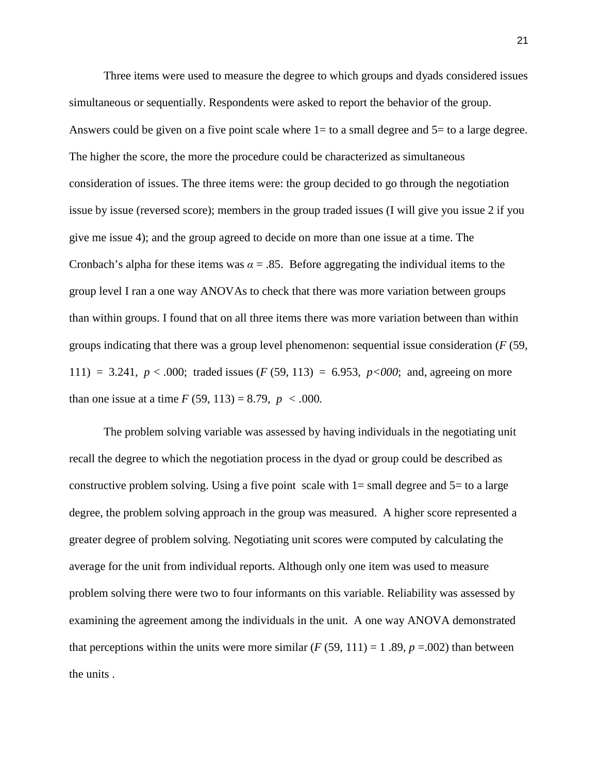Three items were used to measure the degree to which groups and dyads considered issues simultaneous or sequentially. Respondents were asked to report the behavior of the group. Answers could be given on a five point scale where  $1=$  to a small degree and  $5=$  to a large degree. The higher the score, the more the procedure could be characterized as simultaneous consideration of issues. The three items were: the group decided to go through the negotiation issue by issue (reversed score); members in the group traded issues (I will give you issue 2 if you give me issue 4); and the group agreed to decide on more than one issue at a time. The Cronbach's alpha for these items was  $\alpha = .85$ . Before aggregating the individual items to the group level I ran a one way ANOVAs to check that there was more variation between groups than within groups. I found that on all three items there was more variation between than within groups indicating that there was a group level phenomenon: sequential issue consideration (*F* (59, 111) = 3.241,  $p < .000$ ; traded issues (*F* (59, 113) = 6.953,  $p < 000$ ; and, agreeing on more than one issue at a time *F* (59, 113) = 8.79,  $p < .000$ .

The problem solving variable was assessed by having individuals in the negotiating unit recall the degree to which the negotiation process in the dyad or group could be described as constructive problem solving. Using a five point scale with  $1=$  small degree and  $5=$  to a large degree, the problem solving approach in the group was measured. A higher score represented a greater degree of problem solving. Negotiating unit scores were computed by calculating the average for the unit from individual reports. Although only one item was used to measure problem solving there were two to four informants on this variable. Reliability was assessed by examining the agreement among the individuals in the unit. A one way ANOVA demonstrated that perceptions within the units were more similar  $(F (59, 111) = 1, 89, p = .002)$  than between the units .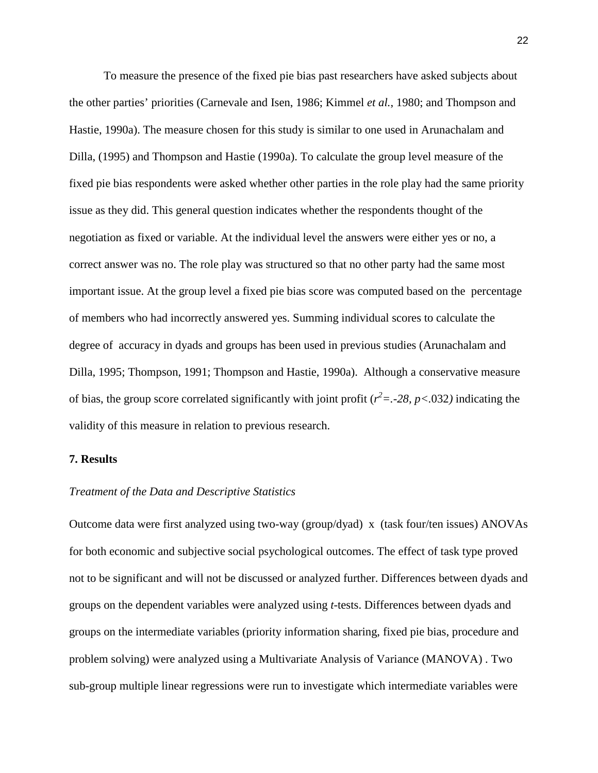To measure the presence of the fixed pie bias past researchers have asked subjects about the other parties' priorities (Carnevale and Isen, 1986; Kimmel *et al.*, 1980; and Thompson and Hastie, 1990a). The measure chosen for this study is similar to one used in Arunachalam and Dilla, (1995) and Thompson and Hastie (1990a). To calculate the group level measure of the fixed pie bias respondents were asked whether other parties in the role play had the same priority issue as they did. This general question indicates whether the respondents thought of the negotiation as fixed or variable. At the individual level the answers were either yes or no, a correct answer was no. The role play was structured so that no other party had the same most important issue. At the group level a fixed pie bias score was computed based on the percentage of members who had incorrectly answered yes. Summing individual scores to calculate the degree of accuracy in dyads and groups has been used in previous studies (Arunachalam and Dilla, 1995; Thompson, 1991; Thompson and Hastie, 1990a). Although a conservative measure of bias, the group score correlated significantly with joint profit ( $r^2 = -28$ ,  $p < .032$ ) indicating the validity of this measure in relation to previous research.

#### **7. Results**

#### *Treatment of the Data and Descriptive Statistics*

Outcome data were first analyzed using two-way (group/dyad) x (task four/ten issues) ANOVAs for both economic and subjective social psychological outcomes. The effect of task type proved not to be significant and will not be discussed or analyzed further. Differences between dyads and groups on the dependent variables were analyzed using *t*-tests. Differences between dyads and groups on the intermediate variables (priority information sharing, fixed pie bias, procedure and problem solving) were analyzed using a Multivariate Analysis of Variance (MANOVA) . Two sub-group multiple linear regressions were run to investigate which intermediate variables were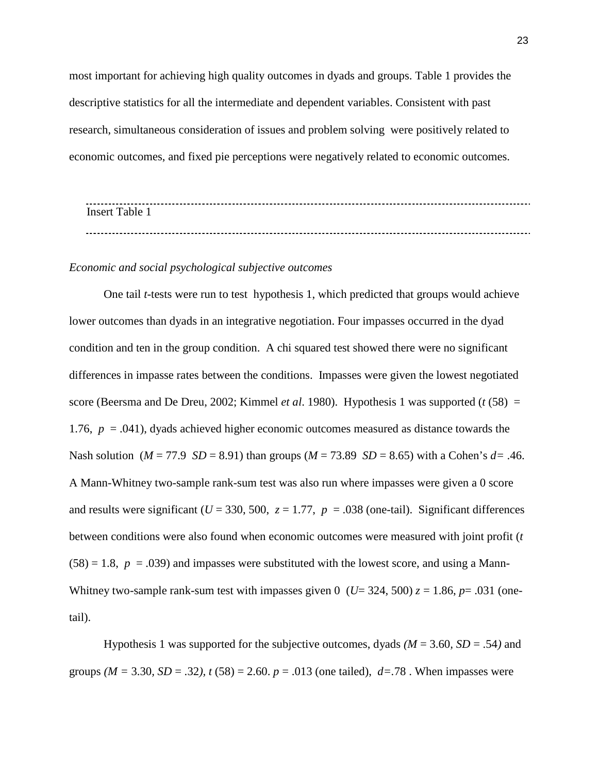most important for achieving high quality outcomes in dyads and groups. Table 1 provides the descriptive statistics for all the intermediate and dependent variables. Consistent with past research, simultaneous consideration of issues and problem solving were positively related to economic outcomes, and fixed pie perceptions were negatively related to economic outcomes.

| <b>Insert</b><br>l'oblai |  |  |  |
|--------------------------|--|--|--|
|                          |  |  |  |
|                          |  |  |  |

#### *Economic and social psychological subjective outcomes*

One tail *t*-tests were run to test hypothesis 1, which predicted that groups would achieve lower outcomes than dyads in an integrative negotiation. Four impasses occurred in the dyad condition and ten in the group condition. A chi squared test showed there were no significant differences in impasse rates between the conditions. Impasses were given the lowest negotiated score (Beersma and De Dreu, 2002; Kimmel *et al*. 1980). Hypothesis 1 was supported (*t* (58) = 1.76,  $p = .041$ ), dyads achieved higher economic outcomes measured as distance towards the Nash solution ( $M = 77.9$  *SD* = 8.91) than groups ( $M = 73.89$  *SD* = 8.65) with a Cohen's  $d=$  .46. A Mann-Whitney two-sample rank-sum test was also run where impasses were given a 0 score and results were significant ( $U = 330, 500, z = 1.77, p = .038$  (one-tail). Significant differences between conditions were also found when economic outcomes were measured with joint profit (*t*   $(58) = 1.8$ ,  $p = .039$ ) and impasses were substituted with the lowest score, and using a Mann-Whitney two-sample rank-sum test with impasses given 0 ( $U=$  324, 500)  $z=1.86$ ,  $p=.031$  (onetail).

Hypothesis 1 was supported for the subjective outcomes, dyads *(M* = 3.60*, SD* = .54*)* and groups  $(M = 3.30, SD = .32)$ ,  $t(58) = 2.60$ .  $p = .013$  (one tailed),  $d = .78$ . When impasses were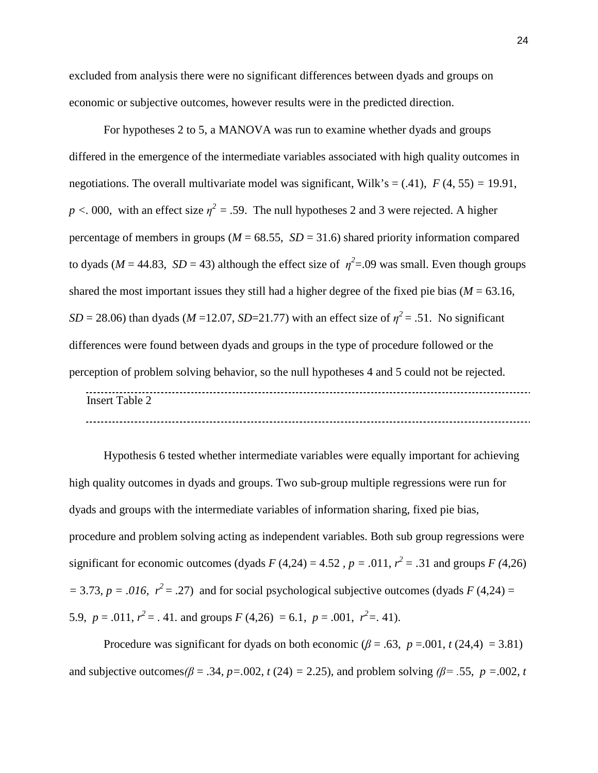excluded from analysis there were no significant differences between dyads and groups on economic or subjective outcomes, however results were in the predicted direction.

For hypotheses 2 to 5, a MANOVA was run to examine whether dyads and groups differed in the emergence of the intermediate variables associated with high quality outcomes in negotiations. The overall multivariate model was significant, Wilk's =  $(.41)$ ,  $F(4, 55) = 19.91$ ,  $p < 0.00$ , with an effect size  $\eta^2 = .59$ . The null hypotheses 2 and 3 were rejected. A higher percentage of members in groups ( $M = 68.55$ ,  $SD = 31.6$ ) shared priority information compared to dyads ( $M = 44.83$ ,  $SD = 43$ ) although the effect size of  $\eta^2 = .09$  was small. Even though groups shared the most important issues they still had a higher degree of the fixed pie bias ( $M = 63.16$ ,  $SD = 28.06$ ) than dyads (*M* = 12.07, *SD*=21.77) with an effect size of  $\eta^2 = .51$ . No significant differences were found between dyads and groups in the type of procedure followed or the perception of problem solving behavior, so the null hypotheses 4 and 5 could not be rejected. Insert Table 2 

Hypothesis 6 tested whether intermediate variables were equally important for achieving high quality outcomes in dyads and groups. Two sub-group multiple regressions were run for dyads and groups with the intermediate variables of information sharing, fixed pie bias, procedure and problem solving acting as independent variables. Both sub group regressions were significant for economic outcomes (dyads  $F(4,24) = 4.52$ ,  $p = .011$ ,  $r^2 = .31$  and groups  $F(4,26)$  $= 3.73, p = .016, r<sup>2</sup> = .27$  and for social psychological subjective outcomes (dyads *F* (4,24) = 5.9,  $p = .011$ ,  $r^2 = .41$ . and groups  $F(4,26) = 6.1$ ,  $p = .001$ ,  $r^2 = .41$ ).

Procedure was significant for dyads on both economic ( $\beta$  = .63,  $p$  = .001,  $t$  (24,4) = 3.81) and subjective outcomes  $\beta = .34$ ,  $p = .002$ ,  $t(24) = 2.25$ ), and problem solving  $\beta = .55$ ,  $p = .002$ , t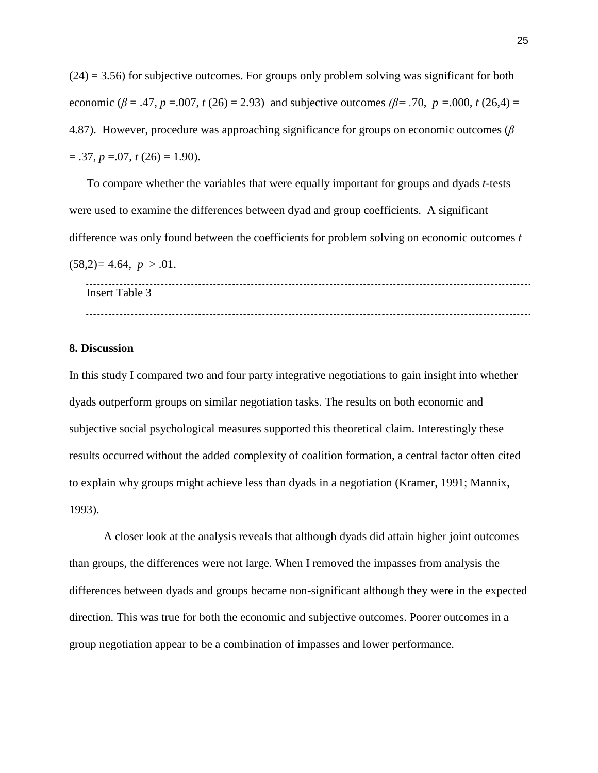$(24) = 3.56$ ) for subjective outcomes. For groups only problem solving was significant for both economic ( $\beta$  = .47, *p* = .007, *t* (26) = 2.93) and subjective outcomes ( $\beta$ = .70, *p* = .000, *t* (26,4) = 4.87). However, procedure was approaching significance for groups on economic outcomes (*β*  $= .37, p = .07, t(26) = 1.90$ .

To compare whether the variables that were equally important for groups and dyads *t*-tests were used to examine the differences between dyad and group coefficients. A significant difference was only found between the coefficients for problem solving on economic outcomes *t*

 $(58,2)=4.64, p > .01.$ 

Insert Table 3 

#### **8. Discussion**

In this study I compared two and four party integrative negotiations to gain insight into whether dyads outperform groups on similar negotiation tasks. The results on both economic and subjective social psychological measures supported this theoretical claim. Interestingly these results occurred without the added complexity of coalition formation, a central factor often cited to explain why groups might achieve less than dyads in a negotiation (Kramer, 1991; Mannix, 1993).

A closer look at the analysis reveals that although dyads did attain higher joint outcomes than groups, the differences were not large. When I removed the impasses from analysis the differences between dyads and groups became non-significant although they were in the expected direction. This was true for both the economic and subjective outcomes. Poorer outcomes in a group negotiation appear to be a combination of impasses and lower performance.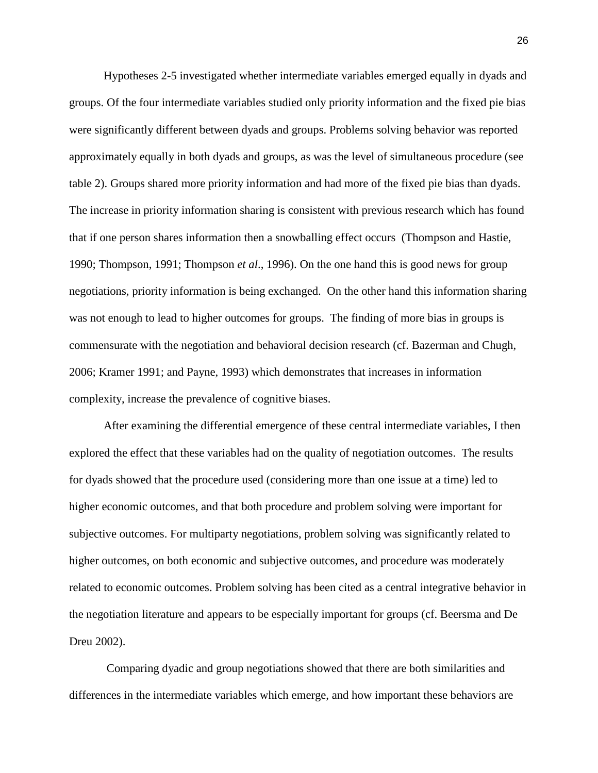Hypotheses 2-5 investigated whether intermediate variables emerged equally in dyads and groups. Of the four intermediate variables studied only priority information and the fixed pie bias were significantly different between dyads and groups. Problems solving behavior was reported approximately equally in both dyads and groups, as was the level of simultaneous procedure (see table 2). Groups shared more priority information and had more of the fixed pie bias than dyads. The increase in priority information sharing is consistent with previous research which has found that if one person shares information then a snowballing effect occurs (Thompson and Hastie, 1990; Thompson, 1991; Thompson *et al*., 1996). On the one hand this is good news for group negotiations, priority information is being exchanged. On the other hand this information sharing was not enough to lead to higher outcomes for groups. The finding of more bias in groups is commensurate with the negotiation and behavioral decision research (cf. Bazerman and Chugh, 2006; Kramer 1991; and Payne, 1993) which demonstrates that increases in information complexity, increase the prevalence of cognitive biases.

After examining the differential emergence of these central intermediate variables, I then explored the effect that these variables had on the quality of negotiation outcomes. The results for dyads showed that the procedure used (considering more than one issue at a time) led to higher economic outcomes, and that both procedure and problem solving were important for subjective outcomes. For multiparty negotiations, problem solving was significantly related to higher outcomes, on both economic and subjective outcomes, and procedure was moderately related to economic outcomes. Problem solving has been cited as a central integrative behavior in the negotiation literature and appears to be especially important for groups (cf. Beersma and De Dreu 2002).

Comparing dyadic and group negotiations showed that there are both similarities and differences in the intermediate variables which emerge, and how important these behaviors are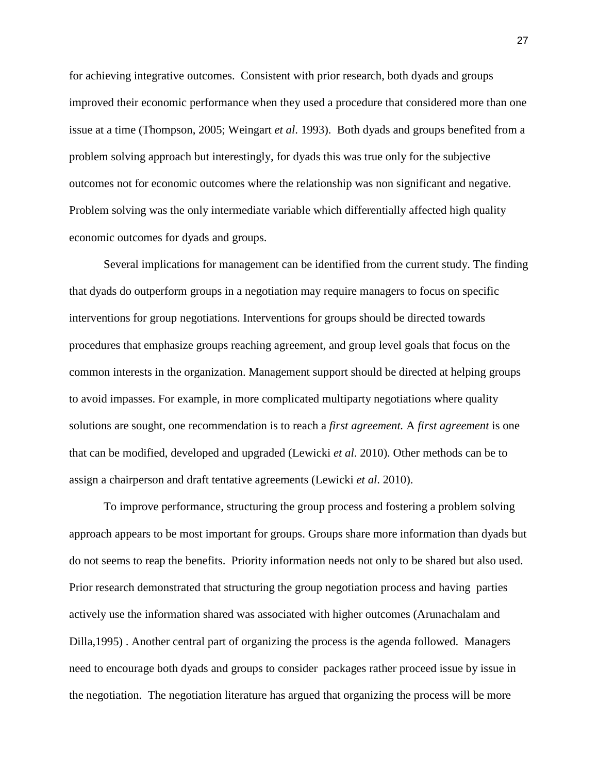for achieving integrative outcomes. Consistent with prior research, both dyads and groups improved their economic performance when they used a procedure that considered more than one issue at a time (Thompson, 2005; Weingart *et al*. 1993). Both dyads and groups benefited from a problem solving approach but interestingly, for dyads this was true only for the subjective outcomes not for economic outcomes where the relationship was non significant and negative. Problem solving was the only intermediate variable which differentially affected high quality economic outcomes for dyads and groups.

Several implications for management can be identified from the current study. The finding that dyads do outperform groups in a negotiation may require managers to focus on specific interventions for group negotiations. Interventions for groups should be directed towards procedures that emphasize groups reaching agreement, and group level goals that focus on the common interests in the organization. Management support should be directed at helping groups to avoid impasses. For example, in more complicated multiparty negotiations where quality solutions are sought, one recommendation is to reach a *first agreement.* A *first agreement* is one that can be modified, developed and upgraded (Lewicki *et al*. 2010). Other methods can be to assign a chairperson and draft tentative agreements (Lewicki *et al*. 2010).

To improve performance, structuring the group process and fostering a problem solving approach appears to be most important for groups. Groups share more information than dyads but do not seems to reap the benefits. Priority information needs not only to be shared but also used. Prior research demonstrated that structuring the group negotiation process and having parties actively use the information shared was associated with higher outcomes (Arunachalam and Dilla,1995) . Another central part of organizing the process is the agenda followed. Managers need to encourage both dyads and groups to consider packages rather proceed issue by issue in the negotiation. The negotiation literature has argued that organizing the process will be more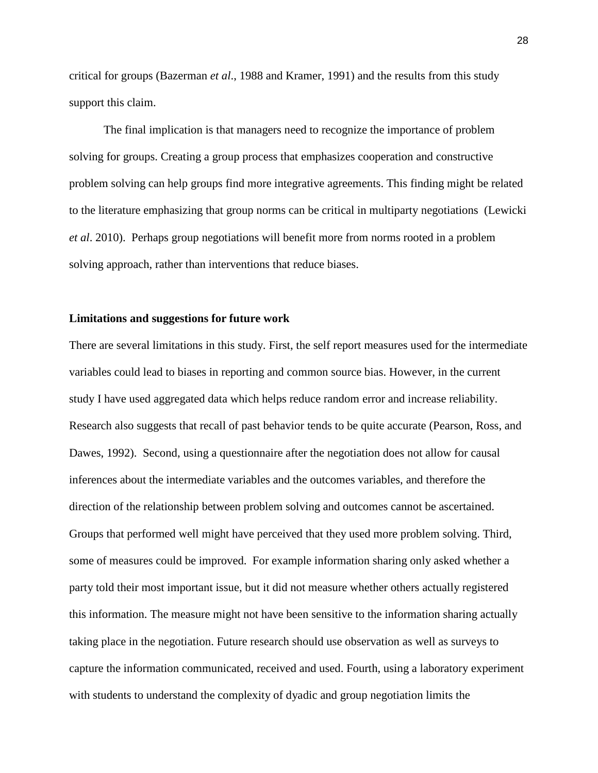critical for groups (Bazerman *et al*., 1988 and Kramer, 1991) and the results from this study support this claim.

The final implication is that managers need to recognize the importance of problem solving for groups. Creating a group process that emphasizes cooperation and constructive problem solving can help groups find more integrative agreements. This finding might be related to the literature emphasizing that group norms can be critical in multiparty negotiations (Lewicki *et al*. 2010). Perhaps group negotiations will benefit more from norms rooted in a problem solving approach, rather than interventions that reduce biases.

## **Limitations and suggestions for future work**

There are several limitations in this study. First, the self report measures used for the intermediate variables could lead to biases in reporting and common source bias. However, in the current study I have used aggregated data which helps reduce random error and increase reliability. Research also suggests that recall of past behavior tends to be quite accurate (Pearson, Ross, and Dawes, 1992). Second, using a questionnaire after the negotiation does not allow for causal inferences about the intermediate variables and the outcomes variables, and therefore the direction of the relationship between problem solving and outcomes cannot be ascertained. Groups that performed well might have perceived that they used more problem solving. Third, some of measures could be improved. For example information sharing only asked whether a party told their most important issue, but it did not measure whether others actually registered this information. The measure might not have been sensitive to the information sharing actually taking place in the negotiation. Future research should use observation as well as surveys to capture the information communicated, received and used. Fourth, using a laboratory experiment with students to understand the complexity of dyadic and group negotiation limits the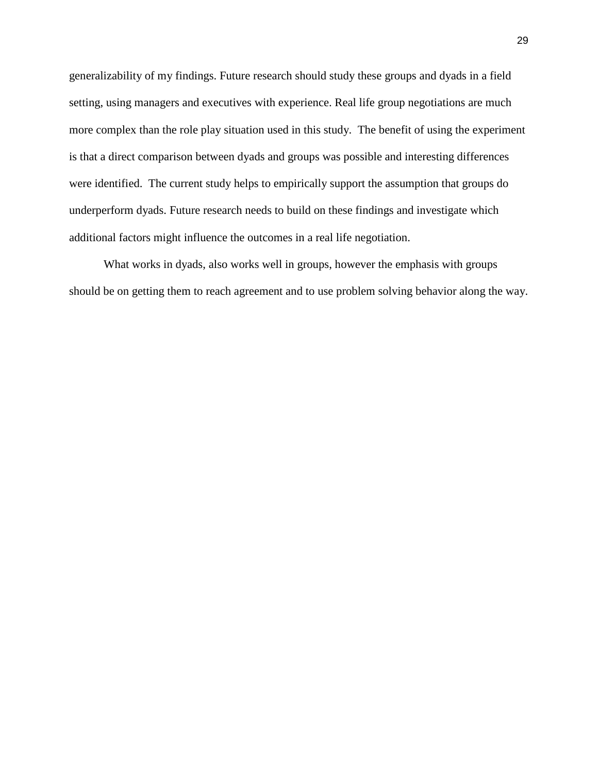generalizability of my findings. Future research should study these groups and dyads in a field setting, using managers and executives with experience. Real life group negotiations are much more complex than the role play situation used in this study. The benefit of using the experiment is that a direct comparison between dyads and groups was possible and interesting differences were identified. The current study helps to empirically support the assumption that groups do underperform dyads. Future research needs to build on these findings and investigate which additional factors might influence the outcomes in a real life negotiation.

What works in dyads, also works well in groups, however the emphasis with groups should be on getting them to reach agreement and to use problem solving behavior along the way.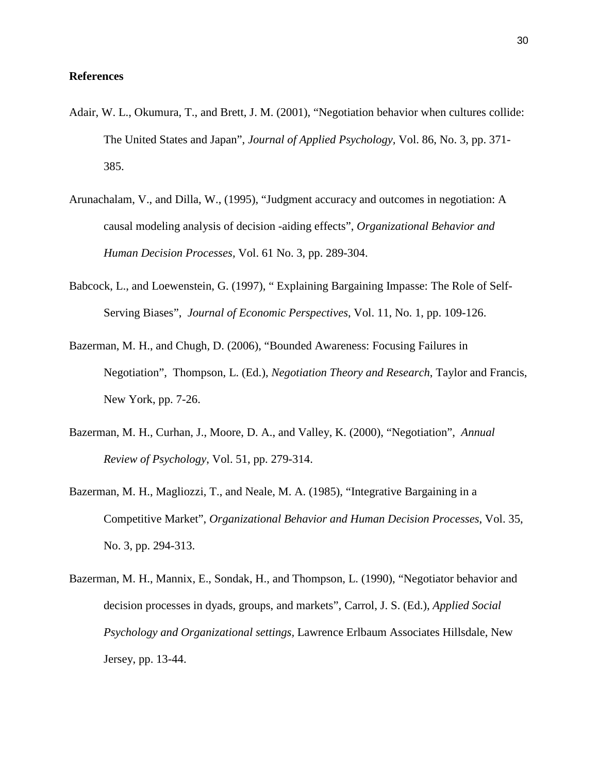### **References**

- Adair, W. L., Okumura, T., and Brett, J. M. (2001), "Negotiation behavior when cultures collide: The United States and Japan", *Journal of Applied Psychology,* Vol. 86, No. 3, pp. 371- 385.
- Arunachalam, V., and Dilla, W., (1995), "Judgment accuracy and outcomes in negotiation: A causal modeling analysis of decision -aiding effects", *Organizational Behavior and Human Decision Processes,* Vol. 61 No. 3, pp. 289-304.
- Babcock, L., and Loewenstein, G. (1997), " Explaining Bargaining Impasse: The Role of Self-Serving Biases", *Journal of Economic Perspectives*, Vol. 11, No. 1, pp. 109-126.
- Bazerman, M. H., and Chugh, D. (2006), "Bounded Awareness: Focusing Failures in Negotiation", Thompson, L. (Ed.), *Negotiation Theory and Research*, Taylor and Francis, New York, pp. 7-26.
- Bazerman, M. H., Curhan, J., Moore, D. A., and Valley, K. (2000), "Negotiation", *Annual Review of Psychology*, Vol. 51, pp. 279-314.
- Bazerman, M. H., Magliozzi, T., and Neale, M. A. (1985), "Integrative Bargaining in a Competitive Market", *Organizational Behavior and Human Decision Processes*, Vol. 35, No. 3, pp. 294-313.
- Bazerman, M. H., Mannix, E., Sondak, H., and Thompson, L. (1990), "Negotiator behavior and decision processes in dyads, groups, and markets", Carrol, J. S. (Ed.), *Applied Social Psychology and Organizational settings,* Lawrence Erlbaum Associates Hillsdale, New Jersey, pp. 13-44.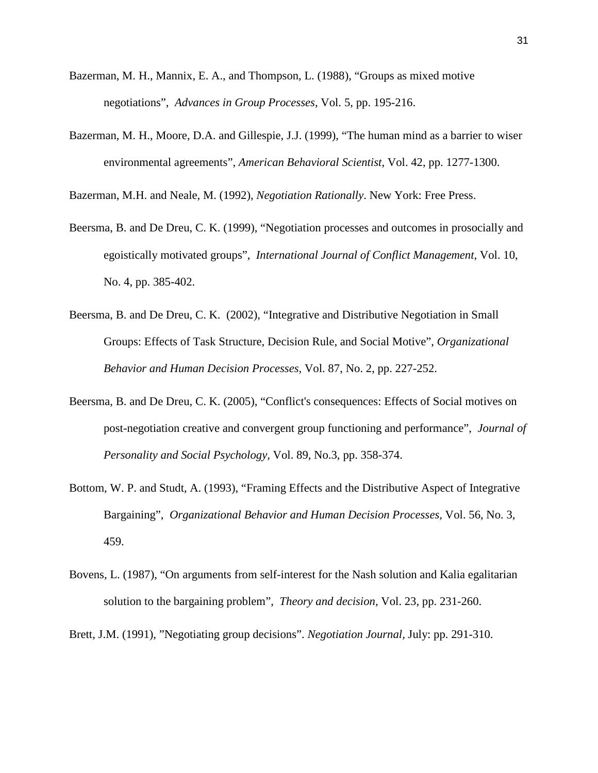- Bazerman, M. H., Mannix, E. A., and Thompson, L. (1988), "Groups as mixed motive negotiations", *Advances in Group Processes*, Vol. 5, pp. 195-216.
- Bazerman, M. H., Moore, D.A. and Gillespie, J.J. (1999), "The human mind as a barrier to wiser environmental agreements", *American Behavioral Scientist*, Vol. 42, pp. 1277-1300.

Bazerman, M.H. and Neale, M. (1992), *Negotiation Rationally*. New York: Free Press.

- Beersma, B. and De Dreu, C. K. (1999), "Negotiation processes and outcomes in prosocially and egoistically motivated groups", *International Journal of Conflict Management,* Vol. 10, No. 4, pp. 385-402.
- Beersma, B. and De Dreu, C. K. (2002), "Integrative and Distributive Negotiation in Small Groups: Effects of Task Structure, Decision Rule, and Social Motive", *Organizational Behavior and Human Decision Processes,* Vol. 87, No. 2, pp. 227-252.
- Beersma, B. and De Dreu, C. K. (2005), "Conflict's consequences: Effects of Social motives on post-negotiation creative and convergent group functioning and performance", *Journal of Personality and Social Psychology,* Vol. 89, No.3, pp. 358-374.
- Bottom, W. P. and Studt, A. (1993), "Framing Effects and the Distributive Aspect of Integrative Bargaining", *Organizational Behavior and Human Decision Processes,* Vol. 56, No. 3, 459.
- Bovens, L. (1987), "On arguments from self-interest for the Nash solution and Kalia egalitarian solution to the bargaining problem", *Theory and decision,* Vol. 23, pp. 231-260.

Brett, J.M. (1991), "Negotiating group decisions". *Negotiation Journal,* July: pp. 291-310.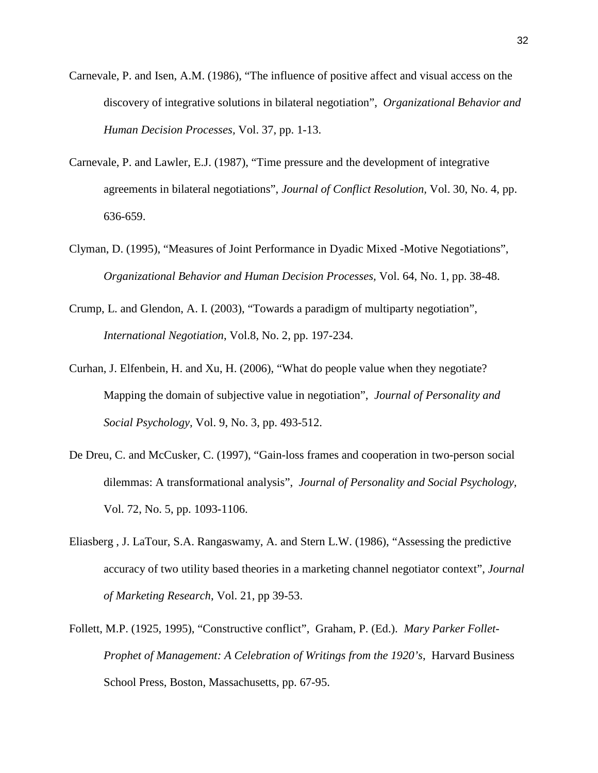- Carnevale, P. and Isen, A.M. (1986), "The influence of positive affect and visual access on the discovery of integrative solutions in bilateral negotiation", *Organizational Behavior and Human Decision Processes,* Vol. 37, pp. 1-13.
- Carnevale, P. and Lawler, E.J. (1987), "Time pressure and the development of integrative agreements in bilateral negotiations", *Journal of Conflict Resolution,* Vol. 30, No. 4, pp. 636-659.
- Clyman, D. (1995), "Measures of Joint Performance in Dyadic Mixed -Motive Negotiations", *Organizational Behavior and Human Decision Processes,* Vol. 64, No. 1, pp. 38-48.
- Crump, L. and Glendon, A. I. (2003), "Towards a paradigm of multiparty negotiation", *International Negotiation*, Vol.8, No. 2, pp. 197-234.
- Curhan, J. Elfenbein, H. and Xu, H. (2006), "What do people value when they negotiate? Mapping the domain of subjective value in negotiation", *Journal of Personality and Social Psychology,* Vol. 9, No. 3, pp. 493-512.
- De Dreu, C. and McCusker, C. (1997), "Gain-loss frames and cooperation in two-person social dilemmas: A transformational analysis", *Journal of Personality and Social Psychology,*  Vol. 72, No. 5, pp. 1093-1106.
- Eliasberg , J. LaTour, S.A. Rangaswamy, A. and Stern L.W. (1986), "Assessing the predictive accuracy of two utility based theories in a marketing channel negotiator context", *Journal of Marketing Research*, Vol. 21, pp 39-53.
- Follett, M.P. (1925, 1995), "Constructive conflict", Graham, P. (Ed.). *Mary Parker Follet-Prophet of Management: A Celebration of Writings from the 1920's*, Harvard Business School Press, Boston, Massachusetts, pp. 67-95.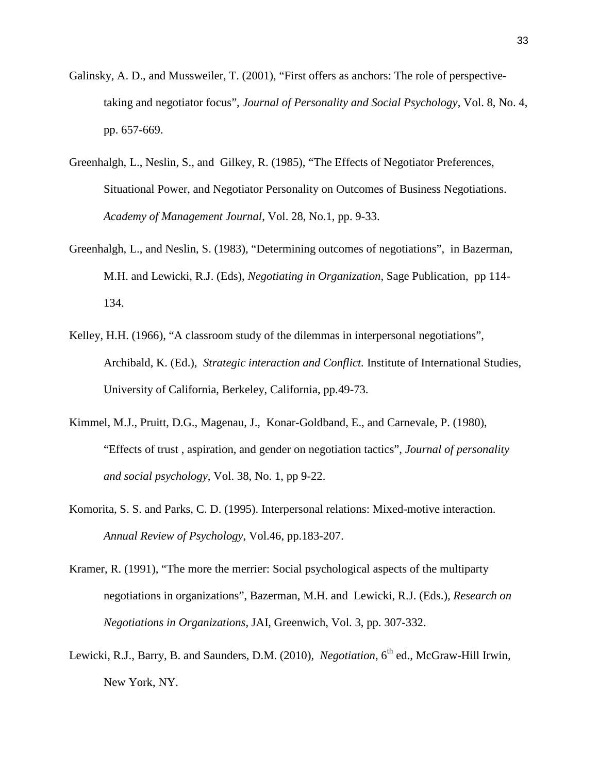- Galinsky, A. D., and Mussweiler, T. (2001), "First offers as anchors: The role of perspectivetaking and negotiator focus", *Journal of Personality and Social Psychology*, Vol. 8, No. 4, pp. 657-669.
- Greenhalgh, L., Neslin, S., and Gilkey, R. (1985), "The Effects of Negotiator Preferences, Situational Power, and Negotiator Personality on Outcomes of Business Negotiations. *Academy of Management Journal*, Vol. 28, No.1, pp. 9-33.
- Greenhalgh, L., and Neslin, S. (1983), "Determining outcomes of negotiations", in Bazerman, M.H. and Lewicki, R.J. (Eds), *Negotiating in Organization*, Sage Publication, pp 114- 134.
- Kelley, H.H. (1966), "A classroom study of the dilemmas in interpersonal negotiations", Archibald, K. (Ed.), *Strategic interaction and Conflict.* Institute of International Studies, University of California, Berkeley, California, pp.49-73.
- Kimmel, M.J., Pruitt, D.G., Magenau, J., Konar-Goldband, E., and Carnevale, P. (1980), "Effects of trust , aspiration, and gender on negotiation tactics", *Journal of personality and social psychology*, Vol. 38, No. 1, pp 9-22.
- Komorita, S. S. and Parks, C. D. (1995). Interpersonal relations: Mixed-motive interaction. *Annual Review of Psychology*, Vol.46, pp.183-207.
- Kramer, R. (1991), "The more the merrier: Social psychological aspects of the multiparty negotiations in organizations", Bazerman, M.H. and Lewicki, R.J. (Eds.), *Research on Negotiations in Organizations,* JAI, Greenwich, Vol. 3, pp. 307-332.
- Lewicki, R.J., Barry, B. and Saunders, D.M. (2010), *Negotiation*, 6<sup>th</sup> ed., McGraw-Hill Irwin, New York, NY.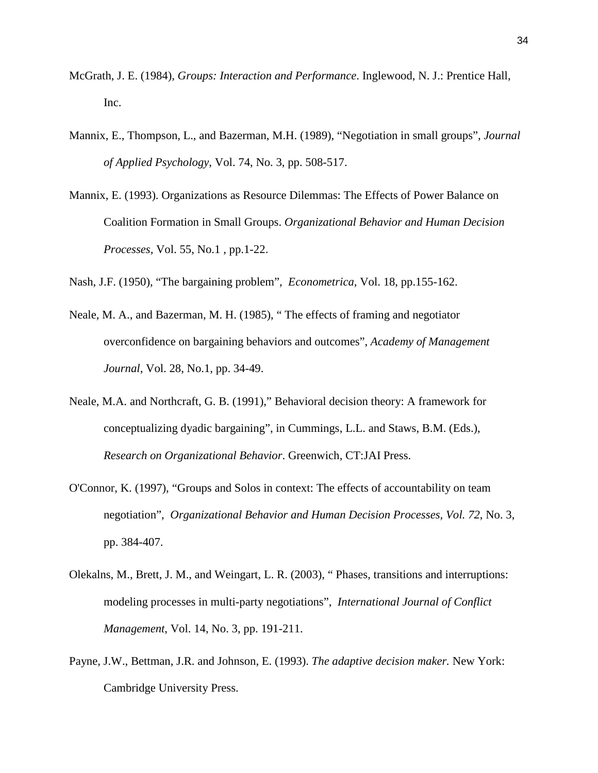- McGrath, J. E. (1984), *Groups: Interaction and Performance*. Inglewood, N. J.: Prentice Hall, Inc.
- Mannix, E., Thompson, L., and Bazerman, M.H. (1989), "Negotiation in small groups", *Journal of Applied Psychology*, Vol. 74, No. 3, pp. 508-517.
- Mannix, E. (1993). Organizations as Resource Dilemmas: The Effects of Power Balance on Coalition Formation in Small Groups. *Organizational Behavior and Human Decision Processes,* Vol. 55, No.1 , pp.1-22.

Nash, J.F. (1950), "The bargaining problem", *Econometrica,* Vol. 18, pp.155-162.

- Neale, M. A., and Bazerman, M. H. (1985), " The effects of framing and negotiator overconfidence on bargaining behaviors and outcomes", *Academy of Management Journal*, Vol. 28, No.1, pp. 34-49.
- Neale, M.A. and Northcraft, G. B. (1991)," Behavioral decision theory: A framework for conceptualizing dyadic bargaining", in Cummings, L.L. and Staws, B.M. (Eds.), *Research on Organizational Behavior*. Greenwich, CT:JAI Press.
- O'Connor, K. (1997), "Groups and Solos in context: The effects of accountability on team negotiation", *Organizational Behavior and Human Decision Processes, Vol. 72*, No. 3, pp. 384-407.
- Olekalns, M., Brett, J. M., and Weingart, L. R. (2003), " Phases, transitions and interruptions: modeling processes in multi-party negotiations", *International Journal of Conflict Management*, Vol. 14, No. 3, pp. 191-211.
- Payne, J.W., Bettman, J.R. and Johnson, E. (1993). *The adaptive decision maker.* New York: Cambridge University Press.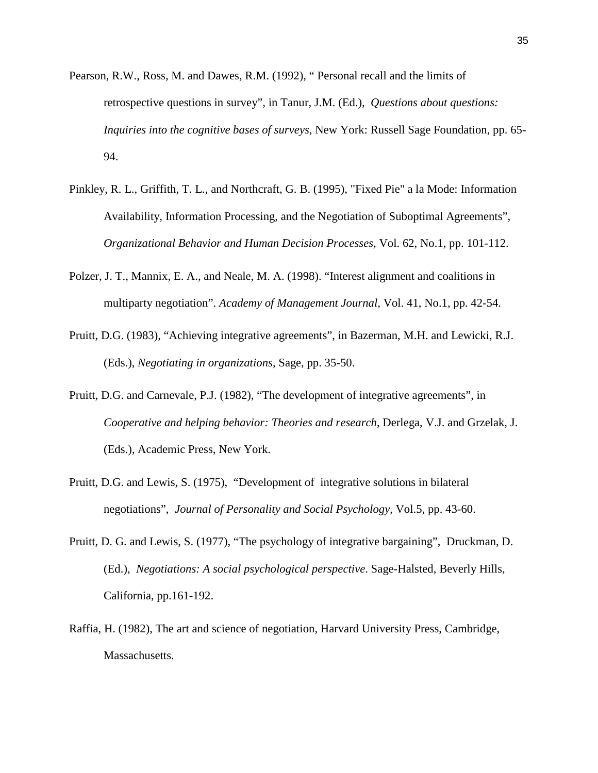- Pearson, R.W., Ross, M. and Dawes, R.M. (1992), " Personal recall and the limits of retrospective questions in survey", in Tanur, J.M. (Ed.), *Questions about questions: Inquiries into the cognitive bases of surveys*, New York: Russell Sage Foundation, pp. 65- 94.
- Pinkley, R. L., Griffith, T. L., and Northcraft, G. B. (1995), "Fixed Pie" a la Mode: Information Availability, Information Processing, and the Negotiation of Suboptimal Agreements", *Organizational Behavior and Human Decision Processes,* Vol. 62, No.1, pp. 101-112.
- Polzer, J. T., Mannix, E. A., and Neale, M. A. (1998). "Interest alignment and coalitions in multiparty negotiation". *Academy of Management Journal,* Vol. 41, No.1, pp. 42-54.
- Pruitt, D.G. (1983), "Achieving integrative agreements", in Bazerman, M.H. and Lewicki, R.J. (Eds.), *Negotiating in organizations*, Sage, pp. 35-50.
- Pruitt, D.G. and Carnevale, P.J. (1982), "The development of integrative agreements", in *Cooperative and helping behavior: Theories and research*, Derlega, V.J. and Grzelak, J. (Eds.), Academic Press, New York.
- Pruitt, D.G. and Lewis, S. (1975), "Development of integrative solutions in bilateral negotiations", *Journal of Personality and Social Psychology,* Vol.5, pp. 43-60.
- Pruitt, D. G. and Lewis, S. (1977), "The psychology of integrative bargaining", Druckman, D. (Ed.), *Negotiations: A social psychological perspective*. Sage-Halsted, Beverly Hills, California, pp.161-192.
- Raffia, H. (1982), The art and science of negotiation, Harvard University Press, Cambridge, Massachusetts.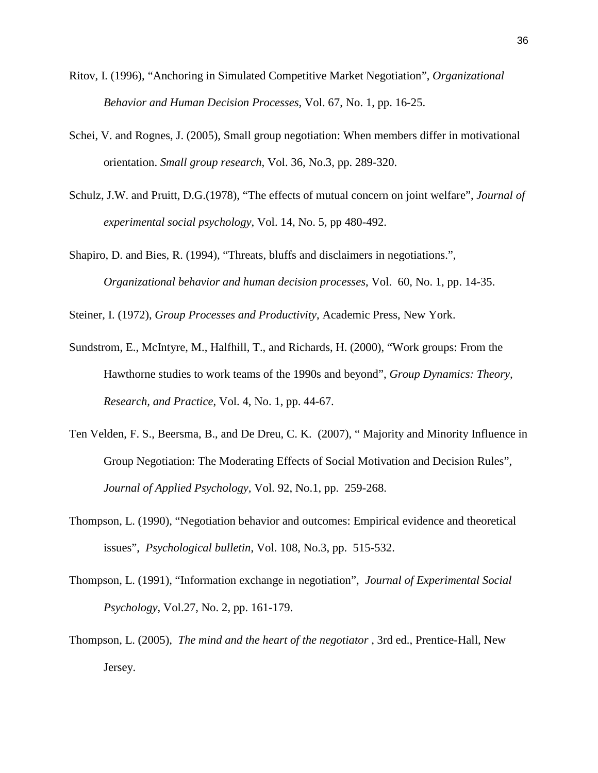- Ritov, I. (1996), "Anchoring in Simulated Competitive Market Negotiation", *Organizational Behavior and Human Decision Processes*, Vol. 67, No. 1, pp. 16-25.
- Schei, V. and Rognes, J. (2005), Small group negotiation: When members differ in motivational orientation. *Small group research*, Vol. 36, No.3, pp. 289-320.
- Schulz, J.W. and Pruitt, D.G.(1978), "The effects of mutual concern on joint welfare", *Journal of experimental social psychology*, Vol. 14, No. 5, pp 480-492.
- Shapiro, D. and Bies, R. (1994), "Threats, bluffs and disclaimers in negotiations.", *Organizational behavior and human decision processes*, Vol. 60, No. 1, pp. 14-35.

Steiner, I. (1972), *Group Processes and Productivity*, Academic Press, New York.

- Sundstrom, E., McIntyre, M., Halfhill, T., and Richards, H. (2000), "Work groups: From the Hawthorne studies to work teams of the 1990s and beyond", *Group Dynamics: Theory, Research, and Practice*, Vol. 4, No. 1, pp. 44-67.
- Ten Velden, F. S., Beersma, B., and De Dreu, C. K. (2007), " Majority and Minority Influence in Group Negotiation: The Moderating Effects of Social Motivation and Decision Rules", *Journal of Applied Psychology,* Vol. 92, No.1, pp. 259-268.
- Thompson, L. (1990), "Negotiation behavior and outcomes: Empirical evidence and theoretical issues", *Psychological bulletin*, Vol. 108, No.3, pp. 515-532.
- Thompson, L. (1991), "Information exchange in negotiation", *Journal of Experimental Social Psychology*, Vol.27, No. 2, pp. 161-179.
- Thompson, L. (2005), *The mind and the heart of the negotiator* , 3rd ed., Prentice-Hall, New Jersey.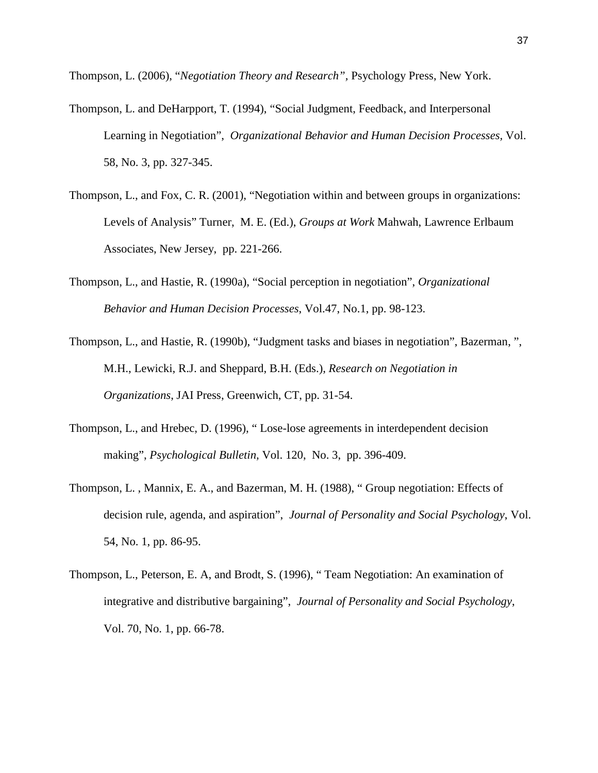Thompson, L. (2006), "*Negotiation Theory and Research",* Psychology Press, New York.

- Thompson, L. and DeHarpport, T. (1994), "Social Judgment, Feedback, and Interpersonal Learning in Negotiation", *Organizational Behavior and Human Decision Processes,* Vol. 58, No. 3, pp. 327-345.
- Thompson, L., and Fox, C. R. (2001), "Negotiation within and between groups in organizations: Levels of Analysis" Turner, M. E. (Ed.), *Groups at Work* Mahwah, Lawrence Erlbaum Associates, New Jersey, pp. 221-266.
- Thompson, L., and Hastie, R. (1990a), "Social perception in negotiation", *Organizational Behavior and Human Decision Processes*, Vol.47, No.1, pp. 98-123.
- Thompson, L., and Hastie, R. (1990b), "Judgment tasks and biases in negotiation", Bazerman, ", M.H., Lewicki, R.J. and Sheppard, B.H. (Eds.), *Research on Negotiation in Organizations*, JAI Press, Greenwich, CT, pp. 31-54.
- Thompson, L., and Hrebec, D. (1996), " Lose-lose agreements in interdependent decision making", *Psychological Bulletin,* Vol. 120, No. 3, pp. 396-409.
- Thompson, L. , Mannix, E. A., and Bazerman, M. H. (1988), " Group negotiation: Effects of decision rule, agenda, and aspiration", *Journal of Personality and Social Psychology*, Vol. 54, No. 1, pp. 86-95.
- Thompson, L., Peterson, E. A, and Brodt, S. (1996), " Team Negotiation: An examination of integrative and distributive bargaining", *Journal of Personality and Social Psychology*, Vol. 70, No. 1, pp. 66-78.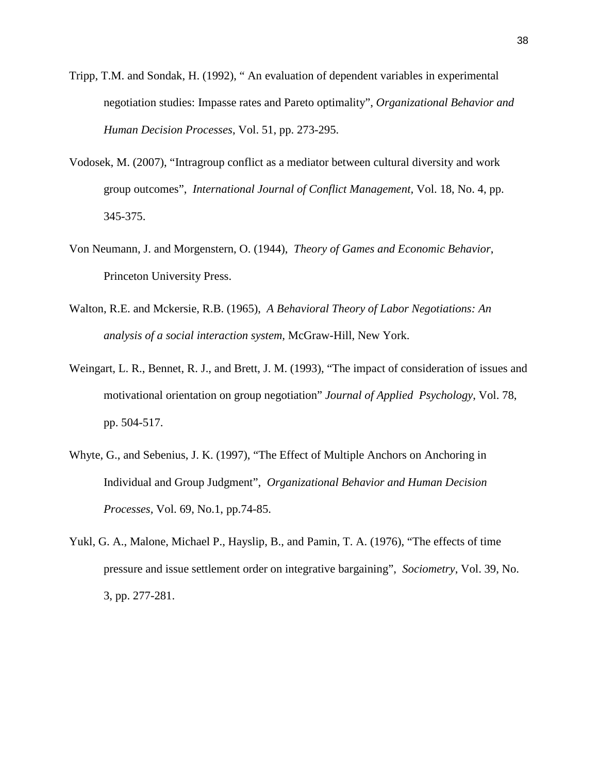- Tripp, T.M. and Sondak, H. (1992), " An evaluation of dependent variables in experimental negotiation studies: Impasse rates and Pareto optimality", *Organizational Behavior and Human Decision Processes*, Vol. 51, pp. 273-295.
- Vodosek, M. (2007), "Intragroup conflict as a mediator between cultural diversity and work group outcomes", *International Journal of Conflict Management,* Vol. 18, No. 4, pp. 345-375.
- [Von Neumann,](http://en.wikipedia.org/wiki/John_von_Neumann) J. and [Morgenstern,](http://en.wikipedia.org/wiki/Oskar_Morgenstern) O. (1944), *Theory of Games and Economic Behavior*, [Princeton University Press.](http://en.wikipedia.org/wiki/Princeton_University_Press)
- Walton, R.E. and Mckersie, R.B. (1965), *A Behavioral Theory of Labor Negotiations: An analysis of a social interaction system,* McGraw-Hill, New York.
- Weingart, L. R., Bennet, R. J., and Brett, J. M. (1993), "The impact of consideration of issues and motivational orientation on group negotiation" *Journal of Applied Psychology*, Vol. 78, pp. 504-517.
- Whyte, G., and Sebenius, J. K. (1997), "The Effect of Multiple Anchors on Anchoring in Individual and Group Judgment", *Organizational Behavior and Human Decision Processes,* Vol. 69, No.1, pp.74-85.
- Yukl, G. A., Malone, Michael P., Hayslip, B., and Pamin, T. A. (1976), "The effects of time pressure and issue settlement order on integrative bargaining", *Sociometry*, Vol. 39, No. 3, pp. 277-281.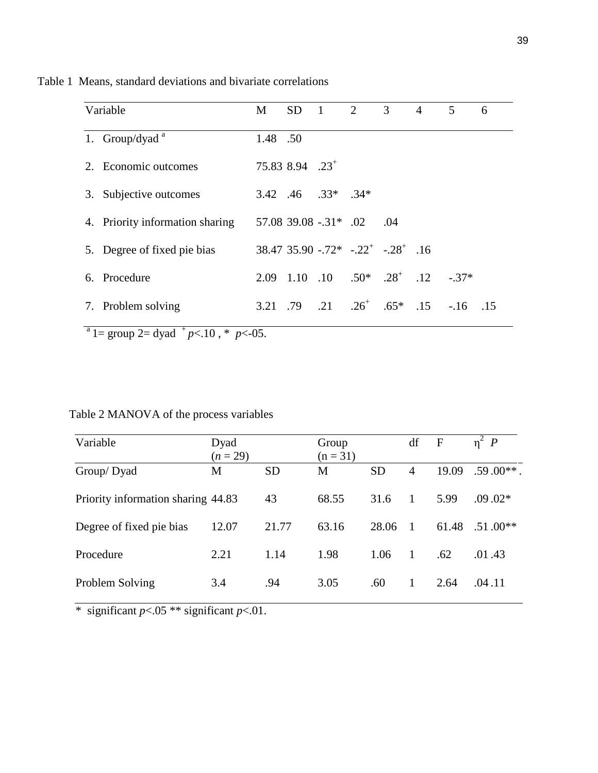|    | Variable                        | M        | <b>SD</b>                   | $\overline{1}$             | $\overline{2}$ | 3 <sup>7</sup>                                   | $\overline{4}$ | 5                                                           | 6 |
|----|---------------------------------|----------|-----------------------------|----------------------------|----------------|--------------------------------------------------|----------------|-------------------------------------------------------------|---|
|    | 1. Group/dyad $a^a$             | 1.48 .50 |                             |                            |                |                                                  |                |                                                             |   |
|    | 2. Economic outcomes            |          | 75.83 8.94 .23 <sup>+</sup> |                            |                |                                                  |                |                                                             |   |
|    | 3. Subjective outcomes          |          |                             | $3.42$ $.46$ $.33*$ $.34*$ |                |                                                  |                |                                                             |   |
|    | 4. Priority information sharing |          |                             | $57.08$ 39.08 $-.31$ * .02 |                | .04                                              |                |                                                             |   |
|    | 5. Degree of fixed pie bias     |          |                             |                            |                | $38.47$ $35.90$ $-.72^*$ $-.22^*$ $-.28^*$ $.16$ |                |                                                             |   |
|    | 6. Procedure                    | 2.09     |                             |                            |                | 1.10 .10 .50* .28 <sup>+</sup> .12               |                | $-37*$                                                      |   |
| 7. | Problem solving                 |          |                             |                            |                |                                                  |                | 3.21 .79 .21 .26 <sup>+</sup> .65 <sup>*</sup> .15 -.16 .15 |   |

Table 1 Means, standard deviations and bivariate correlations

 $a^2$  1 = group 2 = dyad  $p<sub>0</sub>$ ,  $p<sub>0</sub>$ ,  $p<sub>0</sub>$ ,  $p<sub>0</sub>$ ,  $p<sub>0</sub>$ 

# Table 2 MANOVA of the process variables

| Variable                           | Dyad<br>$(n = 29)$ |           | Group<br>$(n = 31)$ |           | df             | $\mathbf F$ | $\eta^2$ $P$ |
|------------------------------------|--------------------|-----------|---------------------|-----------|----------------|-------------|--------------|
| Group/Dyad                         | M                  | <b>SD</b> | M                   | <b>SD</b> | $\overline{4}$ | 19.09       | $.59.00**$ . |
| Priority information sharing 44.83 |                    | 43        | 68.55               | 31.6      | 1              | 5.99        | $.09.02*$    |
| Degree of fixed pie bias           | 12.07              | 21.77     | 63.16               | 28.06     | $\overline{1}$ | 61.48       | $.51.00**$   |
| Procedure                          | 2.21               | 1.14      | 1.98                | 1.06      | 1              | .62         | .01.43       |
| Problem Solving                    | 3.4                | .94       | 3.05                | .60       | 1              | 2.64        | .04.11       |

\* significant  $p < .05$  \*\* significant  $p < .01$ .